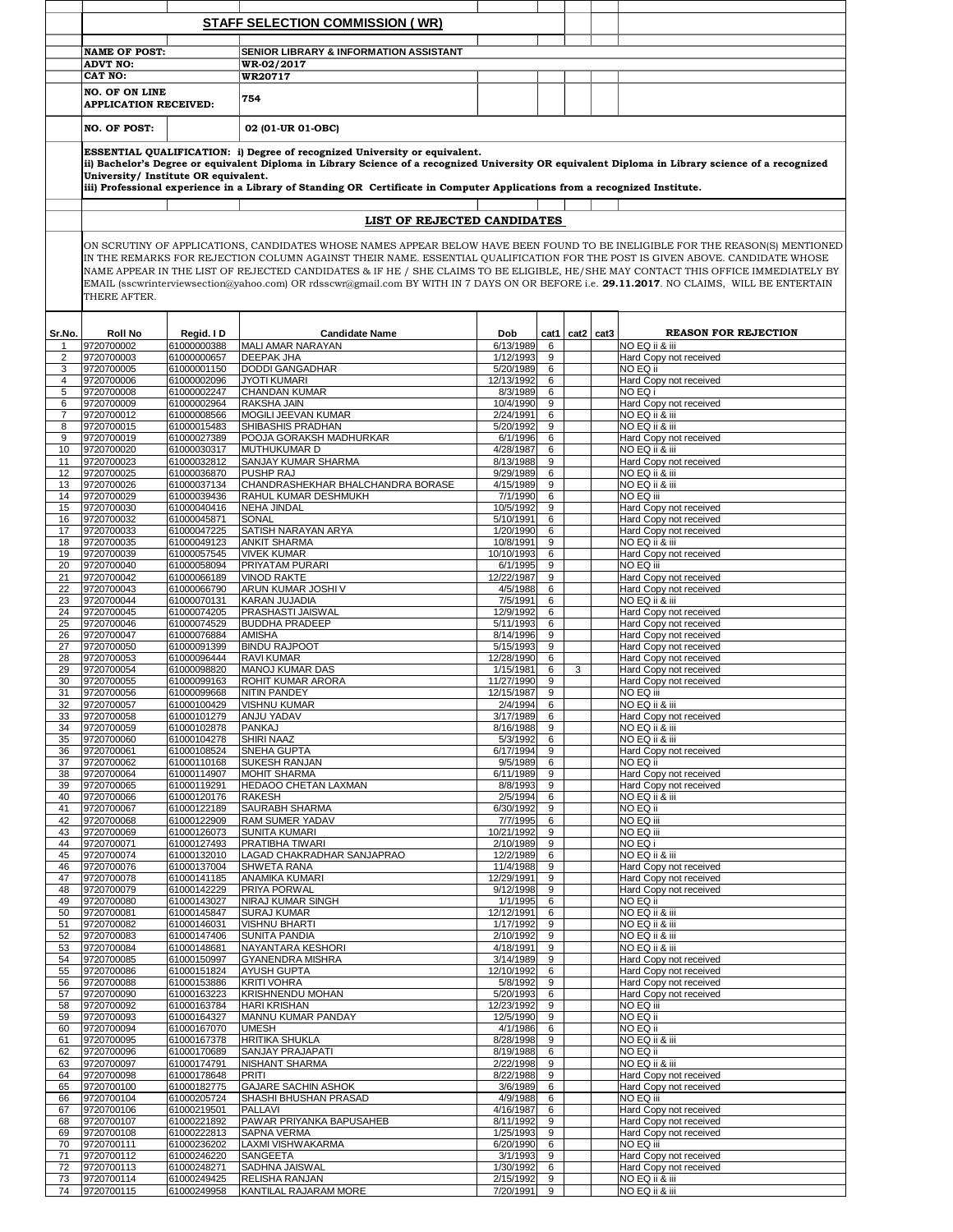|          |                                         |                            | <b>STAFF SELECTION COMMISSION (WR)</b>                                                                                                                                                                                                                                                                                                                                                                                                                                                                                                          |                         |        |                   |  |                                                  |  |  |
|----------|-----------------------------------------|----------------------------|-------------------------------------------------------------------------------------------------------------------------------------------------------------------------------------------------------------------------------------------------------------------------------------------------------------------------------------------------------------------------------------------------------------------------------------------------------------------------------------------------------------------------------------------------|-------------------------|--------|-------------------|--|--------------------------------------------------|--|--|
|          | <b>NAME OF POST:</b>                    |                            | <b>SENIOR LIBRARY &amp; INFORMATION ASSISTANT</b>                                                                                                                                                                                                                                                                                                                                                                                                                                                                                               |                         |        |                   |  |                                                  |  |  |
|          | <b>ADVT NO:</b>                         |                            | WR-02/2017                                                                                                                                                                                                                                                                                                                                                                                                                                                                                                                                      |                         |        |                   |  |                                                  |  |  |
|          | <b>CAT NO:</b><br><b>NO. OF ON LINE</b> |                            | WR20717                                                                                                                                                                                                                                                                                                                                                                                                                                                                                                                                         |                         |        |                   |  |                                                  |  |  |
|          | <b>APPLICATION RECEIVED:</b>            |                            | 754                                                                                                                                                                                                                                                                                                                                                                                                                                                                                                                                             |                         |        |                   |  |                                                  |  |  |
|          | <b>NO. OF POST:</b>                     |                            | 02 (01-UR 01-OBC)                                                                                                                                                                                                                                                                                                                                                                                                                                                                                                                               |                         |        |                   |  |                                                  |  |  |
|          | University/ Institute OR equivalent.    |                            | ESSENTIAL QUALIFICATION: i) Degree of recognized University or equivalent.<br>ii) Bachelor's Degree or equivalent Diploma in Library Science of a recognized University OR equivalent Diploma in Library science of a recognized                                                                                                                                                                                                                                                                                                                |                         |        |                   |  |                                                  |  |  |
|          |                                         |                            | iii) Professional experience in a Library of Standing OR Certificate in Computer Applications from a recognized Institute.                                                                                                                                                                                                                                                                                                                                                                                                                      |                         |        |                   |  |                                                  |  |  |
|          |                                         |                            | LIST OF REJECTED CANDIDATES                                                                                                                                                                                                                                                                                                                                                                                                                                                                                                                     |                         |        |                   |  |                                                  |  |  |
|          | THERE AFTER.                            |                            | ON SCRUTINY OF APPLICATIONS, CANDIDATES WHOSE NAMES APPEAR BELOW HAVE BEEN FOUND TO BE INELIGIBLE FOR THE REASON(S) MENTIONED<br>IN THE REMARKS FOR REJECTION COLUMN AGAINST THEIR NAME. ESSENTIAL QUALIFICATION FOR THE POST IS GIVEN ABOVE. CANDIDATE WHOSE<br>NAME APPEAR IN THE LIST OF REJECTED CANDIDATES & IF HE / SHE CLAIMS TO BE ELIGIBLE, HE/SHE MAY CONTACT THIS OFFICE IMMEDIATELY BY<br>EMAIL (sscwrinterviewsection@yahoo.com) OR rdsscwr@gmail.com BY WITH IN 7 DAYS ON OR BEFORE i.e. 29.11.2017. NO CLAIMS, WILL BE ENTERTAIN |                         |        |                   |  |                                                  |  |  |
| Sr.No.   | <b>Roll No</b>                          | Regid. I D                 | <b>Candidate Name</b>                                                                                                                                                                                                                                                                                                                                                                                                                                                                                                                           | <b>Dob</b>              |        | cat1 $ cat2 cat3$ |  | <b>REASON FOR REJECTION</b>                      |  |  |
|          | 9720700002<br>9720700003                | 61000000388<br>61000000657 | MALI AMAR NARAYAN<br><b>DEEPAK JHA</b>                                                                                                                                                                                                                                                                                                                                                                                                                                                                                                          | 6/13/1989<br>1/12/1993  | 6<br>9 |                   |  | NO EQ ii & iii<br>Hard Copy not received         |  |  |
|          | 9720700005                              | 61000001150                | <b>DODDI GANGADHAR</b>                                                                                                                                                                                                                                                                                                                                                                                                                                                                                                                          | 5/20/1989               | 6      |                   |  | NO EQ ii                                         |  |  |
|          | 9720700006<br>9720700008                | 61000002096<br>61000002247 | <b>JYOTI KUMARI</b><br><b>CHANDAN KUMAR</b>                                                                                                                                                                                                                                                                                                                                                                                                                                                                                                     | 12/13/1992<br>8/3/1989  | 6<br>6 |                   |  | Hard Copy not received<br>NO EQ i                |  |  |
| 6        | 9720700009                              | 61000002964                | <b>RAKSHA JAIN</b>                                                                                                                                                                                                                                                                                                                                                                                                                                                                                                                              | 10/4/1990               | 9      |                   |  | Hard Copy not received                           |  |  |
|          | 9720700012                              | 61000008566                | <b>MOGILI JEEVAN KUMAR</b>                                                                                                                                                                                                                                                                                                                                                                                                                                                                                                                      | 2/24/1991               | 6      |                   |  | NO EQ ii & iii                                   |  |  |
| 8<br>9   | 9720700015<br>9720700019                | 61000015483<br>61000027389 | <b>SHIBASHIS PRADHAN</b><br><b>POOJA GORAKSH MADHURKAR</b>                                                                                                                                                                                                                                                                                                                                                                                                                                                                                      | 5/20/1992<br>6/1/1996   | 9<br>6 |                   |  | NO EQ ii & iii<br>Hard Copy not received         |  |  |
| 10       | 9720700020                              | 61000030317                | <b>MUTHUKUMAR D</b>                                                                                                                                                                                                                                                                                                                                                                                                                                                                                                                             | 4/28/1987               | 6      |                   |  | NO EQ ii & iii                                   |  |  |
| 12       | 9720700023<br>9720700025                | 61000032812<br>61000036870 | <b>SANJAY KUMAR SHARMA</b><br><b>PUSHP RAJ</b>                                                                                                                                                                                                                                                                                                                                                                                                                                                                                                  | 8/13/1988<br>9/29/1989  | 9<br>6 |                   |  | Hard Copy not received<br>NO EQ ii & iii         |  |  |
| 13       | 9720700026                              | 61000037134                | CHANDRASHEKHAR BHALCHANDRA BORASE                                                                                                                                                                                                                                                                                                                                                                                                                                                                                                               | 4/15/1989               | 9      |                   |  | NO EQ ii & iii                                   |  |  |
| 14       | 9720700029                              | 61000039436                | <b>RAHUL KUMAR DESHMUKH</b>                                                                                                                                                                                                                                                                                                                                                                                                                                                                                                                     | 7/1/1990                | 6      |                   |  | NO EQ iii                                        |  |  |
| 15<br>16 | 9720700030<br>9720700032                | 61000040416<br>61000045871 | <b>NEHA JINDAL</b><br><b>SONAL</b>                                                                                                                                                                                                                                                                                                                                                                                                                                                                                                              | 10/5/1992<br>5/10/1991  | 9<br>6 |                   |  | Hard Copy not received<br>Hard Copy not received |  |  |
| 17       | 9720700033                              | 61000047225                | <b>SATISH NARAYAN ARYA</b>                                                                                                                                                                                                                                                                                                                                                                                                                                                                                                                      | 1/20/1990               | 6      |                   |  | Hard Copy not received                           |  |  |
| 18<br>19 | 9720700035<br>9720700039                | 61000049123<br>61000057545 | <b>ANKIT SHARMA</b><br><b>VIVEK KUMAR</b>                                                                                                                                                                                                                                                                                                                                                                                                                                                                                                       | 10/8/1991<br>10/10/1993 | 9<br>6 |                   |  | NO EQ ii & iii<br>Hard Copy not received         |  |  |
| 20       | 9720700040                              | 61000058094                | <b>PRIYATAM PURARI</b>                                                                                                                                                                                                                                                                                                                                                                                                                                                                                                                          | 6/1/1995                | 9      |                   |  | NO EQ iii                                        |  |  |
| 21       | 9720700042                              | 61000066189                | <b>VINOD RAKTE</b>                                                                                                                                                                                                                                                                                                                                                                                                                                                                                                                              | 12/22/1987              | 9      |                   |  | Hard Copy not received                           |  |  |
| 22<br>23 | 9720700043<br>9720700044                | 61000066790<br>61000070131 | <b>ARUN KUMAR JOSHI V</b><br><b>KARAN JUJADIA</b>                                                                                                                                                                                                                                                                                                                                                                                                                                                                                               | 4/5/1988<br>7/5/1991    | 6<br>6 |                   |  | Hard Copy not received<br>NO EQ ii & iii         |  |  |
| 24       | 9720700045                              | 61000074205                | <b>PRASHASTI JAISWAL</b>                                                                                                                                                                                                                                                                                                                                                                                                                                                                                                                        | 12/9/1992               | 6      |                   |  | Hard Copy not received                           |  |  |
| 25<br>26 | 9720700046<br>9720700047                | 61000074529<br>61000076884 | <b>BUDDHA PRADEEP</b><br><b>AMISHA</b>                                                                                                                                                                                                                                                                                                                                                                                                                                                                                                          | 5/11/1993<br>8/14/1996  | 6<br>9 |                   |  | Hard Copy not received<br>Hard Copy not received |  |  |
| 27       | 9720700050                              | 61000091399                | <b>BINDU RAJPOOT</b>                                                                                                                                                                                                                                                                                                                                                                                                                                                                                                                            | 5/15/1993               | 9      |                   |  | Hard Copy not received                           |  |  |
| 28<br>29 | 9720700053<br>9720700054                | 61000096444<br>61000098820 | <b>RAVI KUMAR</b><br><b>MANOJ KUMAR DAS</b>                                                                                                                                                                                                                                                                                                                                                                                                                                                                                                     | 12/28/1990<br>1/15/1981 | 6<br>6 | 3                 |  | Hard Copy not received<br>Hard Copy not received |  |  |
| 30       | 9720700055                              | 61000099163                | <b>ROHIT KUMAR ARORA</b>                                                                                                                                                                                                                                                                                                                                                                                                                                                                                                                        | 11/27/1990              | 9      |                   |  | Hard Copy not received                           |  |  |
| 31<br>32 | 9720700056<br>9720700057                | 61000099668<br>61000100429 | <b>NITIN PANDEY</b><br><b>VISHNU KUMAR</b>                                                                                                                                                                                                                                                                                                                                                                                                                                                                                                      | 12/15/1987<br>2/4/1994  | 9<br>6 |                   |  | NO EQ iii<br>NO EQ ii & iii                      |  |  |
| 33       | 9720700058                              | 61000101279                | <b>ANJU YADAV</b>                                                                                                                                                                                                                                                                                                                                                                                                                                                                                                                               | 3/17/1989               | 6      |                   |  | Hard Copy not received                           |  |  |
| 34       | 9720700059                              | 61000102878                | <b>PANKAJ</b>                                                                                                                                                                                                                                                                                                                                                                                                                                                                                                                                   | 8/16/1988               | 9      |                   |  | NO EQ ii & iii                                   |  |  |
| 35<br>36 | 9720700060<br>9720700061                | 61000104278<br>61000108524 | <b>SHIRI NAAZ</b><br><b>SNEHA GUPTA</b>                                                                                                                                                                                                                                                                                                                                                                                                                                                                                                         | 5/3/1992<br>6/17/1994   | 6<br>9 |                   |  | NO EQ ii & iii<br>Hard Copy not received         |  |  |
| 37       | 9720700062                              | 61000110168                | <b>SUKESH RANJAN</b>                                                                                                                                                                                                                                                                                                                                                                                                                                                                                                                            | 9/5/1989                | 6      |                   |  | NO EQ ii                                         |  |  |
| 38<br>39 | 9720700064<br>9720700065                | 61000114907<br>61000119291 | <b>MOHIT SHARMA</b><br><b>HEDAOO CHETAN LAXMAN</b>                                                                                                                                                                                                                                                                                                                                                                                                                                                                                              | 6/11/1989<br>8/8/1993   | 9<br>9 |                   |  | Hard Copy not received<br>Hard Copy not received |  |  |
| 40       | 9720700066                              | 61000120176                | <b>RAKESH</b>                                                                                                                                                                                                                                                                                                                                                                                                                                                                                                                                   | 2/5/1994                | 6      |                   |  | NO EQ ii & iii                                   |  |  |
| 41<br>42 | 9720700067<br>9720700068                | 61000122189<br>61000122909 | <b>SAURABH SHARMA</b><br><b>RAM SUMER YADAV</b>                                                                                                                                                                                                                                                                                                                                                                                                                                                                                                 | 6/30/1992<br>7/7/1995   | 9<br>6 |                   |  | NO EQ ii<br>NO EQ iii                            |  |  |
| 43       | 9720700069                              | 61000126073                | <b>SUNITA KUMARI</b>                                                                                                                                                                                                                                                                                                                                                                                                                                                                                                                            | 10/21/1992              | 9      |                   |  | NO EQ iii                                        |  |  |
| 44       | 9720700071                              | 61000127493                | <b>PRATIBHA TIWARI</b>                                                                                                                                                                                                                                                                                                                                                                                                                                                                                                                          | 2/10/1989               | 9      |                   |  | NO EQ i                                          |  |  |
| 45<br>46 | 9720700074<br>9720700076                | 61000132010<br>61000137004 | <b>LAGAD CHAKRADHAR SANJAPRAO</b><br><b>SHWETA RANA</b>                                                                                                                                                                                                                                                                                                                                                                                                                                                                                         | 12/2/1989<br>11/4/1988  | 6<br>9 |                   |  | NO EQ ii & iii<br>Hard Copy not received         |  |  |
| 47       | 9720700078                              | 61000141185                | <b>ANAMIKA KUMARI</b>                                                                                                                                                                                                                                                                                                                                                                                                                                                                                                                           | 12/29/1991              | 9      |                   |  | Hard Copy not received                           |  |  |
| 48<br>49 | 9720700079<br>9720700080                | 61000142229<br>61000143027 | <b>PRIYA PORWAL</b><br><b>NIRAJ KUMAR SINGH</b>                                                                                                                                                                                                                                                                                                                                                                                                                                                                                                 | 9/12/1998<br>1/1/1995   | 9<br>6 |                   |  | Hard Copy not received<br>NO EQ ii               |  |  |
| 50       | 9720700081                              | 61000145847                | <b>SURAJ KUMAR</b>                                                                                                                                                                                                                                                                                                                                                                                                                                                                                                                              | 12/12/1991              | 6      |                   |  | NO EQ ii & iii                                   |  |  |
| 51<br>52 | 9720700082<br>9720700083                | 61000146031<br>61000147406 | <b>VISHNU BHARTI</b><br><b>SUNITA PANDIA</b>                                                                                                                                                                                                                                                                                                                                                                                                                                                                                                    | 1/17/1992<br>2/10/1992  | 9<br>9 |                   |  | NO EQ ii & iii<br>NO EQ ii & iii                 |  |  |
| 53       | 9720700084                              | 61000148681                | NAYANTARA KESHORI                                                                                                                                                                                                                                                                                                                                                                                                                                                                                                                               | 4/18/1991               | 9      |                   |  | NO EQ ii & iii                                   |  |  |
| 54<br>55 | 9720700085<br>9720700086                | 61000150997<br>61000151824 | <b>GYANENDRA MISHRA</b><br><b>AYUSH GUPTA</b>                                                                                                                                                                                                                                                                                                                                                                                                                                                                                                   | 3/14/1989<br>12/10/1992 | 9<br>6 |                   |  | Hard Copy not received<br>Hard Copy not received |  |  |
| 56       | 9720700088                              | 61000153886                | <b>KRITI VOHRA</b>                                                                                                                                                                                                                                                                                                                                                                                                                                                                                                                              | 5/8/1992                | 9      |                   |  | Hard Copy not received                           |  |  |
| 57<br>58 | 9720700090<br>9720700092                | 61000163223<br>61000163784 | <b>KRISHNENDU MOHAN</b><br><b>HARI KRISHAN</b>                                                                                                                                                                                                                                                                                                                                                                                                                                                                                                  | 5/20/1993<br>12/23/1992 | 6<br>9 |                   |  | Hard Copy not received<br><b>NO EQ iii</b>       |  |  |
| 59       | 9720700093                              | 61000164327                | <b>MANNU KUMAR PANDAY</b>                                                                                                                                                                                                                                                                                                                                                                                                                                                                                                                       | 12/5/1990               | 9      |                   |  | NO EQ ii                                         |  |  |
| 60       | 9720700094                              | 61000167070                | <b>UMESH</b>                                                                                                                                                                                                                                                                                                                                                                                                                                                                                                                                    | 4/1/1986                | 6      |                   |  | NO EQ ii                                         |  |  |
| 61<br>62 | 9720700095<br>9720700096                | 61000167378<br>61000170689 | <b>HRITIKA SHUKLA</b><br><b>SANJAY PRAJAPATI</b>                                                                                                                                                                                                                                                                                                                                                                                                                                                                                                | 8/28/1998<br>8/19/1988  | 9<br>6 |                   |  | NO EQ ii & iii<br>NO EQ ii                       |  |  |
| 63       | 9720700097                              | 61000174791                | <b>NISHANT SHARMA</b>                                                                                                                                                                                                                                                                                                                                                                                                                                                                                                                           | 2/22/1998               | 9      |                   |  | NO EQ ii & iii                                   |  |  |
| 64<br>65 | 9720700098<br>9720700100                | 61000178648<br>61000182775 | PRITI<br><b>GAJARE SACHIN ASHOK</b>                                                                                                                                                                                                                                                                                                                                                                                                                                                                                                             | 8/22/1988<br>3/6/1989   | 9<br>6 |                   |  | Hard Copy not received<br>Hard Copy not received |  |  |
| 66       | 9720700104                              | 61000205724                | <b>SHASHI BHUSHAN PRASAD</b>                                                                                                                                                                                                                                                                                                                                                                                                                                                                                                                    | 4/9/1988                | 6      |                   |  | NO EQ iii                                        |  |  |
| 67<br>68 | 9720700106<br>9720700107                | 61000219501<br>61000221892 | <b>PALLAVI</b><br><b>PAWAR PRIYANKA BAPUSAHEB</b>                                                                                                                                                                                                                                                                                                                                                                                                                                                                                               | 4/16/1987<br>8/11/1992  | 6<br>9 |                   |  | Hard Copy not received<br>Hard Copy not received |  |  |
| 69       | 9720700108                              | 61000222813                | <b>SAPNA VERMA</b>                                                                                                                                                                                                                                                                                                                                                                                                                                                                                                                              | 1/25/1993               | 9      |                   |  | <b>Hard Copy not received</b>                    |  |  |
| 70       | 9720700111                              | 61000236202                | <b>LAXMI VISHWAKARMA</b>                                                                                                                                                                                                                                                                                                                                                                                                                                                                                                                        | 6/20/1990               | 6      |                   |  | NO EQ iii                                        |  |  |
| 71<br>72 | 9720700112<br>9720700113                | 61000246220<br>61000248271 | <b>SANGEETA</b><br><b>SADHNA JAISWAL</b>                                                                                                                                                                                                                                                                                                                                                                                                                                                                                                        | 3/1/1993<br>1/30/1992   | 9<br>6 |                   |  | Hard Copy not received<br>Hard Copy not received |  |  |
| 73<br>74 | 9720700114<br>9720700115                | 61000249425<br>61000249958 | <b>RELISHA RANJAN</b><br><b>KANTILAL RAJARAM MORE</b>                                                                                                                                                                                                                                                                                                                                                                                                                                                                                           | 2/15/1992<br>7/20/1991  | 9<br>9 |                   |  | NO EQ ii & iii<br>NO EQ ii & iii                 |  |  |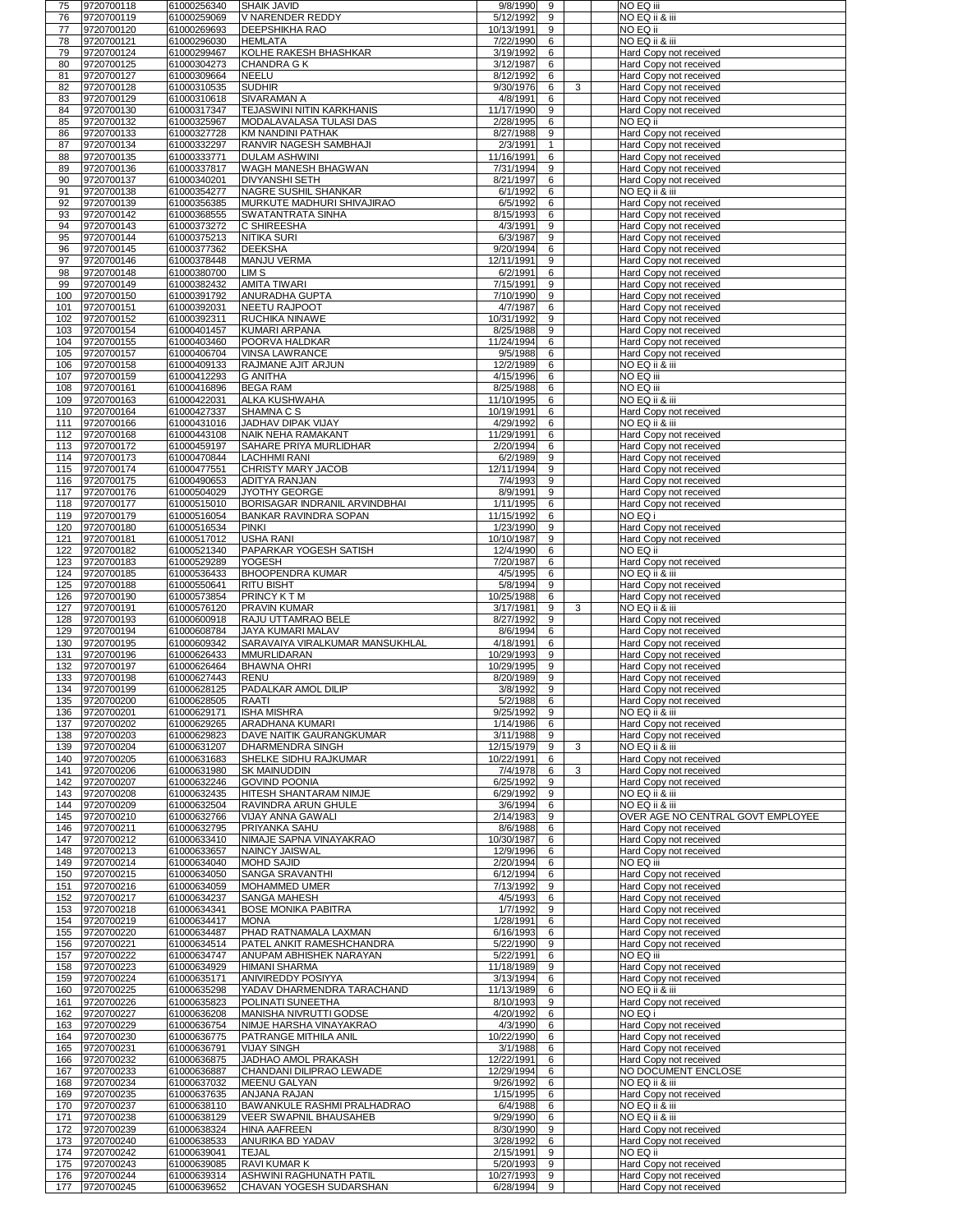| 76         | 9720700118               | 61000256340                | <b>SHAIK JAVID</b>                                       | 9/8/1990<br>9                     | NO EQ iii                                        |
|------------|--------------------------|----------------------------|----------------------------------------------------------|-----------------------------------|--------------------------------------------------|
|            | 9720700119               | 61000259069                | V NARENDER REDDY                                         | 5/12/1992<br>9                    | NO EQ ii & iii                                   |
| 77         | 9720700120               | 61000269693                | <b>DEEPSHIKHA RAO</b>                                    | 9<br>10/13/1991                   | NO EQ ii                                         |
| 78         | 9720700121               | 61000296030                | <b>HEMLATA</b>                                           | 6<br>7/22/1990                    | NO EQ ii & iii                                   |
| 79         | 9720700124               | 61000299467                | KOLHE RAKESH BHASHKAR                                    | 3/19/1992<br>6                    | Hard Copy not received                           |
| 80         | 9720700125               | 61000304273                | CHANDRA G K                                              | 3/12/1987<br>6                    | Hard Copy not received                           |
| 81         | 9720700127               | 61000309664                | NEELU                                                    | 8/12/1992<br>6                    | Hard Copy not received                           |
| 82         | 9720700128               | 61000310535                | <b>SUDHIR</b>                                            | 6<br>9/30/1976                    | 3<br>Hard Copy not received                      |
| 83         | 9720700129               | 61000310618                | <b>SIVARAMAN A</b>                                       | 4/8/1991<br>6                     | Hard Copy not received                           |
| 84         | 9720700130               | 61000317347                | TEJASWINI NITIN KARKHANIS                                | 9<br>11/17/1990                   | Hard Copy not received                           |
| 85         | 9720700132               | 61000325967                | <b>MODALAVALASA TULASI DAS</b>                           | 6<br>2/28/1995                    | NO EQ ii                                         |
| 86         | 9720700133               | 61000327728                | KM NANDINI PATHAK                                        | 8/27/1988<br>9                    | Hard Copy not received                           |
| 87         | 9720700134               | 61000332297                | <b>RANVIR NAGESH SAMBHAJI</b>                            | 2/3/1991                          | Hard Copy not received                           |
| 88         | 9720700135               | 61000333771                | DULAM ASHWINI                                            | 11/16/1991<br>6                   | Hard Copy not received                           |
| 89         | 9720700136               | 61000337817                | <b>WAGH MANESH BHAGWAN</b>                               | 9<br>7/31/1994                    | Hard Copy not received                           |
| 90         | 9720700137               | 61000340201                | <b>DIVYANSHI SETH</b>                                    | 8/21/1997<br>6                    | Hard Copy not received                           |
| 91         | 9720700138               | 61000354277                | <b>NAGRE SUSHIL SHANKAR</b>                              | 6<br>6/1/1992                     | NO EQ ii & iii                                   |
| 92         | 9720700139               | 61000356385                | MURKUTE MADHURI SHIVAJIRAO                               | 6/5/1992<br>6                     | Hard Copy not received                           |
| 93         | 9720700142               | 61000368555                | <b>SWATANTRATA SINHA</b>                                 | 8/15/1993<br>6                    | Hard Copy not received                           |
| 94         | 9720700143               | 61000373272                | <b>C SHIREESHA</b>                                       | 9<br>4/3/1991                     | Hard Copy not received                           |
| 95         | 9720700144               | 61000375213                | <b>NITIKA SURI</b>                                       | 6/3/1987<br>9                     | Hard Copy not received                           |
| 96         | 9720700145               | 61000377362                | DEEKSHA                                                  | 6<br>9/20/1994                    | Hard Copy not received                           |
| 97         | 9720700146               | 61000378448                | <b>MANJU VERMA</b>                                       | 12/11/1991<br>9                   | Hard Copy not received                           |
| 98         | 9720700148               | 61000380700                | <b>LIMS</b>                                              | 6<br>6/2/1991                     | Hard Copy not received                           |
| 99<br>100  | 9720700149<br>9720700150 | 61000382432<br>61000391792 | <b>AMITA TIWARI</b><br><b>ANURADHA GUPTA</b>             | 7/15/1991<br>9<br>9<br>7/10/1990  | Hard Copy not received                           |
| 101        | 9720700151               | 61000392031                | <b>NEETU RAJPOOT</b>                                     | 4/7/1987<br>6                     | Hard Copy not received                           |
| 102        | 9720700152               | 61000392311                | <b>RUCHIKA NINAWE</b>                                    | 10/31/1992<br>9                   | Hard Copy not received<br>Hard Copy not received |
| 103        | 9720700154               | 61000401457                | KUMARI ARPANA                                            | 9<br>8/25/1988                    | Hard Copy not received                           |
| 104        | 9720700155               | 61000403460                | <b>POORVA HALDKAR</b>                                    | 11/24/1994<br>6                   | Hard Copy not received                           |
| 105        | 9720700157               | 61000406704                | <b>VINSA LAWRANCE</b>                                    | 6<br>9/5/1988                     | Hard Copy not received                           |
| 106        | 9720700158               | 61000409133                | <b>RAJMANE AJIT ARJUN</b>                                | 12/2/1989<br>6                    | NO EQ ii & iii                                   |
| 107        | 9720700159               | 61000412293                | <b>G ANITHA</b>                                          | 4/15/1996<br>6                    | NO EQ iii                                        |
| 108        | 9720700161               | 61000416896                | <b>BEGA RAM</b>                                          | 8/25/1988<br>6                    | NO EQ iii                                        |
| 109        | 9720700163               | 61000422031                | <b>ALKA KUSHWAHA</b>                                     | 11/10/1995<br>6                   | NO EQ ii & iii                                   |
| 110        | 9720700164               | 61000427337                | <b>SHAMNA C S</b>                                        | 6<br>10/19/1991                   | Hard Copy not received                           |
| 111        | 9720700166               | 61000431016                | JADHAV DIPAK VIJAY                                       | 4/29/1992<br>6                    | NO EQ ii & iii                                   |
| 112        | 9720700168               | 61000443108                | NAIK NEHA RAMAKANT                                       | 6<br>11/29/1991                   | Hard Copy not received                           |
| 113        | 9720700172               | 61000459197                | <b>SAHARE PRIYA MURLIDHAR</b>                            | 6<br>2/20/1994                    | Hard Copy not received                           |
| 114        | 9720700173               | 61000470844                | <b>LACHHMI RANI</b>                                      | 9<br>6/2/1989                     | Hard Copy not received                           |
| 115        | 9720700174               | 61000477551                | <b>CHRISTY MARY JACOB</b>                                | 12/11/1994<br>9                   | Hard Copy not received                           |
| 116        | 9720700175               | 61000490653                | <b>ADITYA RANJAN</b>                                     | 9<br>7/4/1993                     | Hard Copy not received                           |
| 117        | 9720700176               | 61000504029                | <b>JYOTHY GEORGE</b>                                     | 9<br>8/9/1991                     | Hard Copy not received                           |
| 118        | 9720700177               | 61000515010                | <b>BORISAGAR INDRANIL ARVINDBHAI</b>                     | 6<br>1/11/1995                    | Hard Copy not received                           |
| 119        | 9720700179               | 61000516054                | <b>BANKAR RAVINDRA SOPAN</b>                             | 6<br>11/15/1992                   | NO EQ i                                          |
| 120        | 9720700180               | 61000516534                | PINKI                                                    | 1/23/1990<br>9                    | Hard Copy not received                           |
| 121        | 9720700181               | 61000517012                | <b>USHA RANI</b>                                         | 9<br>10/10/1987                   | Hard Copy not received                           |
| 122        | 9720700182               | 61000521340                | <b>PAPARKAR YOGESH SATISH</b>                            | 12/4/1990<br>6                    | NO EQ ii                                         |
| 123        | 9720700183               | 61000529289                | <b>YOGESH</b>                                            | 7/20/1987<br>6                    | Hard Copy not received                           |
| 124        | 9720700185               | 61000536433                | <b>BHOOPENDRA KUMAR</b>                                  | 4/5/1995<br>6                     | NO EQ ii & iii                                   |
| 125        | 9720700188               | 61000550641                | <b>RITU BISHT</b>                                        | 5/8/1994<br>9                     | Hard Copy not received                           |
| 126        | 9720700190               | 61000573854                | <b>PRINCY KTM</b>                                        | 6<br>10/25/1988                   | Hard Copy not received                           |
| 127        | 9720700191               | 61000576120                | <b>PRAVIN KUMAR</b>                                      | 3/17/1981<br>9                    | NO EQ ii & iii<br>3                              |
| 128        | 9720700193               | 61000600918                | <b>RAJU UTTAMRAO BELE</b>                                | 9<br>8/27/1992                    | Hard Copy not received                           |
| 129        | 9720700194               | 61000608784                | <b>JAYA KUMARI MALAV</b>                                 | 8/6/1994<br>6                     | Hard Copy not received                           |
| 130        | 9720700195               | 61000609342                | SARAVAIYA VIRALKUMAR MANSUKHLAL                          | 4/18/1991<br>6                    | Hard Copy not received                           |
| 131        | 9720700196               | 61000626433                | MMURLIDARAN                                              | 9<br>10/29/1993                   | Hard Copy not received                           |
| 132        | 9720700197               | 61000626464                | <b>BHAWNA OHRI</b>                                       | 9<br>10/29/1995                   | Hard Copy not received                           |
| 133        | 9720700198               | 61000627443                | <b>RENU</b>                                              | 9<br>8/20/1989<br>9               | Hard Copy not received                           |
| 134<br>135 | 9720700199<br>9720700200 | 61000628125<br>61000628505 | <b>PADALKAR AMOL DILIP</b><br><b>RAATI</b>               | 3/8/1992<br>5/2/1988<br>6         | Hard Copy not received                           |
| 136        | 9720700201               |                            | <b>ISHA MISHRA</b>                                       | 9/25/1992<br>$\mathbf{q}$         | Hard Copy not received<br>NO EQ ii & iii         |
|            |                          |                            |                                                          |                                   |                                                  |
|            |                          | 61000629171                |                                                          |                                   |                                                  |
| 137        | 9720700202               | 61000629265                | <b>ARADHANA KUMARI</b>                                   | 1/14/1986<br>6                    | Hard Copy not received                           |
| 138        | 9720700203               | 61000629823                | <b>DAVE NAITIK GAURANGKUMAR</b>                          | 3/11/1988<br>9                    | Hard Copy not received                           |
| 139        | 9720700204               | 61000631207                | <b>DHARMENDRA SINGH</b>                                  | 12/15/1979<br>9<br>6              | 3<br>NO EQ ii & iii                              |
| 140<br>141 | 9720700205<br>9720700206 | 61000631683<br>61000631980 | <b>SHELKE SIDHU RAJKUMAR</b><br><b>SK MAINUDDIN</b>      | 10/22/1991<br>7/4/1978<br>6       | Hard Copy not received<br>3                      |
| 142        | 9720700207               | 61000632246                | <b>GOVIND POONIA</b>                                     | 9<br>6/25/1992                    | Hard Copy not received                           |
| 143        | 9720700208               | 61000632435                | <b>HITESH SHANTARAM NIMJE</b>                            | 9<br>6/29/1992                    | Hard Copy not received<br>NO EQ ii & iii         |
| 144        | 9720700209               | 61000632504                | <b>RAVINDRA ARUN GHULE</b>                               | 3/6/1994<br>6                     | NO EQ ii & iii                                   |
| 145        | 9720700210               | 61000632766                | VIJAY ANNA GAWALI                                        | 2/14/1983<br>9                    | OVER AGE NO CENTRAL GOVT EMPLOYEE                |
| 146        | 9720700211               | 61000632795                | <b>PRIYANKA SAHU</b>                                     | 8/6/1988<br>6                     | Hard Copy not received                           |
| 147        | 9720700212               | 61000633410                | NIMAJE SAPNA VINAYAKRAO                                  | 10/30/1987<br>6                   | Hard Copy not received                           |
| 148        | 9720700213               | 61000633657                | NAINCY JAISWAL                                           | 6<br>12/9/1996                    | Hard Copy not received                           |
| 149        | 9720700214               | 61000634040                | <b>MOHD SAJID</b>                                        | 6<br>2/20/1994                    | NO EQ iii                                        |
| 150        | 9720700215               | 61000634050                | <b>SANGA SRAVANTHI</b>                                   | 6/12/1994<br>6                    | Hard Copy not received                           |
| 151        | 9720700216               | 61000634059                | <b>MOHAMMED UMER</b>                                     | 9<br>7/13/1992                    | Hard Copy not received                           |
| 152        | 9720700217               | 61000634237                | <b>SANGA MAHESH</b>                                      | 6<br>4/5/1993                     | Hard Copy not received                           |
| 153        | 9720700218               | 61000634341                | <b>BOSE MONIKA PABITRA</b>                               | 1/7/1992<br>9                     | Hard Copy not received                           |
| 154        | 9720700219               | 61000634417                | <b>MONA</b>                                              | 1/28/1991<br>6                    | Hard Copy not received                           |
| 155        | 9720700220               | 61000634487                | <b>PHAD RATNAMALA LAXMAN</b>                             | 6<br>6/16/1993                    | <b>Hard Copy not received</b>                    |
| 156        | 9720700221               | 61000634514                | <b>PATEL ANKIT RAMESHCHANDRA</b>                         | 9<br>5/22/1990                    | Hard Copy not received                           |
| 157        | 9720700222               | 61000634747                | <b>ANUPAM ABHISHEK NARAYAN</b>                           | 6<br>5/22/1991                    | NO EQ iii                                        |
| 158        | 9720700223               | 61000634929                | <b>HIMANI SHARMA</b>                                     | 9<br>11/18/1989                   | Hard Copy not received                           |
| 159        | 9720700224               | 61000635171                | <b>ANIVIREDDY POSIYYA</b>                                | 3/13/1994<br>6                    | Hard Copy not received                           |
| 160        | 9720700225               | 61000635298                | YADAV DHARMENDRA TARACHAND                               | 11/13/1989<br>6                   | NO EQ ii & iii                                   |
| 161        | 9720700226               | 61000635823                | <b>POLINATI SUNEETHA</b>                                 | 9<br>8/10/1993                    | Hard Copy not received                           |
| 162<br>163 | 9720700227               | 61000636208                | <b>MANISHA NIVRUTTI GODSE</b><br>NIMJE HARSHA VINAYAKRAO | 4/20/1992<br>6<br>6               | NO EQ i                                          |
| 164        | 9720700229<br>9720700230 | 61000636754                | <b>PATRANGE MITHILA ANIL</b>                             | 4/3/1990<br>10/22/1990<br>6       | Hard Copy not received                           |
| 165        | 9720700231               | 61000636775<br>61000636791 | <b>VIJAY SINGH</b>                                       | 3/1/1988<br>6                     | Hard Copy not received                           |
| 166        | 9720700232               | 61000636875                | JADHAO AMOL PRAKASH                                      | 6<br>12/22/1991                   | Hard Copy not received<br>Hard Copy not received |
| 167        | 9720700233               | 61000636887                | CHANDANI DILIPRAO LEWADE                                 | 12/29/1994<br>$6\phantom{1}6$     | <b>NO DOCUMENT ENCLOSE</b>                       |
| 168        | 9720700234               | 61000637032                | <b>IMEENU GALYAN</b>                                     | 6<br>9/26/1992                    | NO EQ ii & iii                                   |
| 169        | 9720700235               | 61000637635                | <b>ANJANA RAJAN</b>                                      | 1/15/1995<br>6                    | Hard Copy not received                           |
| 170        | 9720700237               | 61000638110                | BAWANKULE RASHMI PRALHADRAO                              | 6<br>6/4/1988                     | NO EQ ii & iii                                   |
| 171        | 9720700238               | 61000638129                | <b>VEER SWAPNIL BHAUSAHEB</b>                            | 9/29/1990<br>6                    | NO EQ ii & iii                                   |
| 172        | 9720700239               | 61000638324                | <b>HINA AAFREEN</b>                                      | 9<br>8/30/1990                    | Hard Copy not received                           |
| 173        | 9720700240               | 61000638533                | ANURIKA BD YADAV                                         | 6<br>3/28/1992                    | Hard Copy not received                           |
| 174        | 9720700242               | 61000639041                | <b>TEJAL</b>                                             | 2/15/1991<br>9                    | NO EQ ii                                         |
| 175        | 9720700243               | 61000639085                | <b>RAVI KUMAR K</b>                                      | 9<br>5/20/1993                    | Hard Copy not received                           |
| 176<br>177 | 9720700244<br>9720700245 | 61000639314<br>61000639652 | ASHWINI RAGHUNATH PATIL<br>CHAVAN YOGESH SUDARSHAN       | 10/27/1993<br>9<br>9<br>6/28/1994 | Hard Copy not received<br>Hard Copy not received |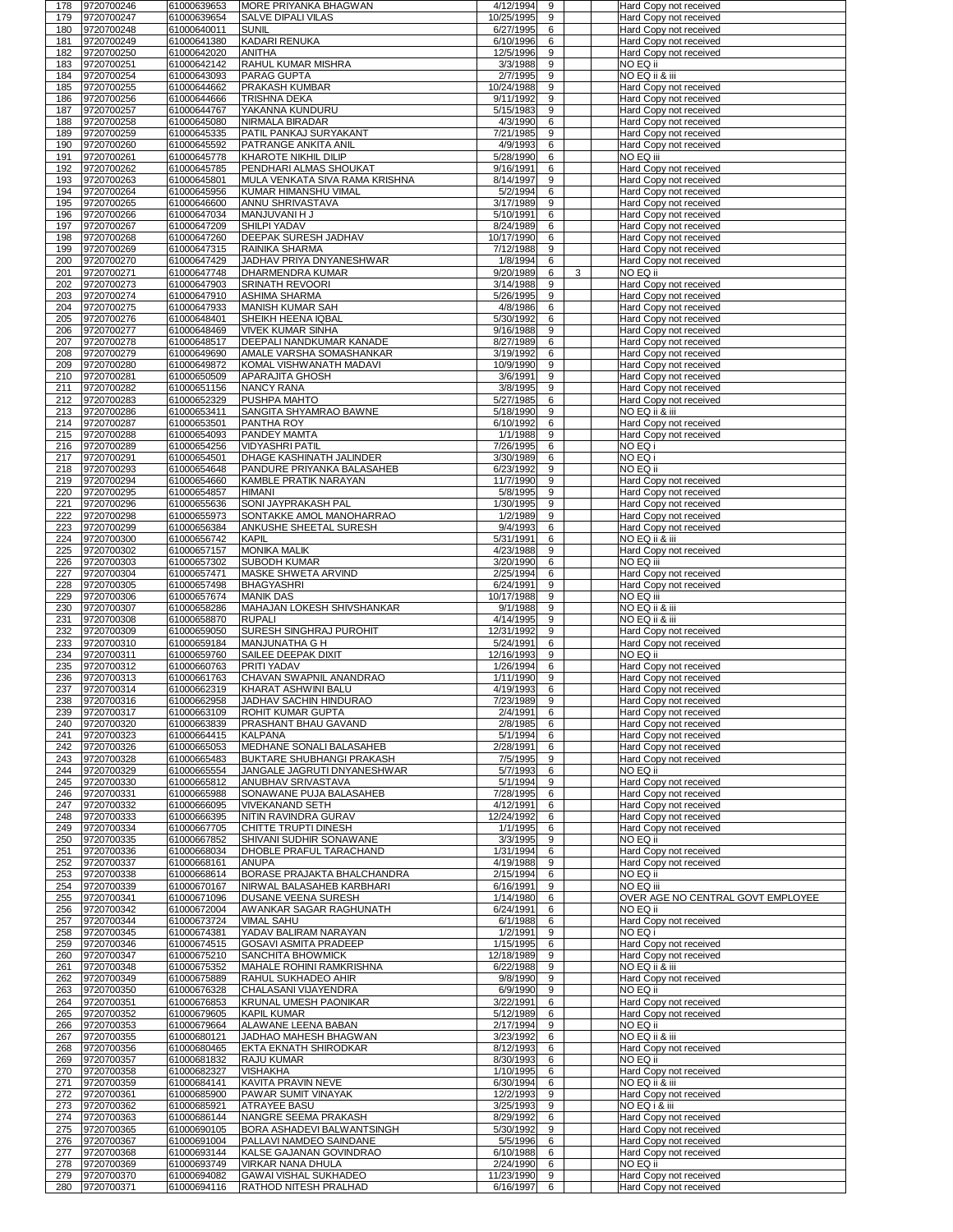| 178        | 9720700246                   | 61000639653                | <b>MORE PRIYANKA BHAGWAN</b>                                 | 4/12/1994<br>9                    | Hard Copy not received                           |
|------------|------------------------------|----------------------------|--------------------------------------------------------------|-----------------------------------|--------------------------------------------------|
| 179        | 9720700247                   | 61000639654                | <b>SALVE DIPALI VILAS</b>                                    | 10/25/1995<br>9                   | Hard Copy not received                           |
| 180        | 9720700248                   | 61000640011                | <b>SUNIL</b>                                                 | 6<br>6/27/1995                    | Hard Copy not received                           |
| 181        | 9720700249                   | 61000641380                | KADARI RENUKA                                                | 6<br>6/10/1996                    | Hard Copy not received                           |
| 182        | 9720700250                   | 61000642020                | <b>ANITHA</b>                                                | 9<br>12/5/1996                    | Hard Copy not received                           |
| 183        | 9720700251                   | 61000642142                | <b>RAHUL KUMAR MISHRA</b>                                    | 9<br>3/3/1988                     | NO EQ ii                                         |
| 184        | 9720700254                   | 61000643093                | <b>PARAG GUPTA</b>                                           | 9<br>2/7/1995                     | NO EQ ii & iii                                   |
| 185        | 9720700255                   | 61000644662                | <b>PRAKASH KUMBAR</b>                                        | 9<br>10/24/1988                   | Hard Copy not received                           |
| 186        | 9720700256                   | 61000644666                | <b>TRISHNA DEKA</b>                                          | 9<br>9/11/1992                    | Hard Copy not received                           |
| 187        | 9720700257                   | 61000644767                | YAKANNA KUNDURU                                              | 9<br>5/15/1983                    | Hard Copy not received                           |
| 188        | 9720700258                   | 61000645080                | <b>NIRMALA BIRADAR</b>                                       | 6<br>4/3/1990                     | Hard Copy not received                           |
| 189        | 9720700259                   | 61000645335                | <b>PATIL PANKAJ SURYAKANT</b>                                | 9<br>7/21/1985                    | Hard Copy not received                           |
| 190        | 9720700260                   | 61000645592                | <b>PATRANGE ANKITA ANIL</b>                                  | 6<br>4/9/1993                     | Hard Copy not received                           |
| 191        | 9720700261                   | 61000645778                | <b>KHAROTE NIKHIL DILIP</b>                                  | 6<br>5/28/1990                    | NO EQ iii                                        |
| 192        | 9720700262                   | 61000645785                | <b>PENDHARI ALMAS SHOUKAT</b>                                | 6<br>9/16/1991                    | Hard Copy not received                           |
| 193        | 9720700263                   | 61000645801                | <b>IMULA VENKATA SIVA RAMA KRISHNA</b>                       | 9<br>8/14/1997                    | Hard Copy not received                           |
| 194        | 9720700264                   | 61000645956                | KUMAR HIMANSHU VIMAL                                         | 6<br>5/2/1994                     | Hard Copy not received                           |
| 195        | 9720700265                   | 61000646600                | ANNU SHRIVASTAVA                                             | 9<br>3/17/1989                    | Hard Copy not received                           |
| 196        | 9720700266                   | 61000647034                | <b>MANJUVANI H J</b>                                         | 6<br>5/10/1991                    | Hard Copy not received                           |
| 197        | 9720700267                   | 61000647209                | <b>SHILPI YADAV</b>                                          | 6<br>8/24/1989                    | <b>Hard Copy not received</b>                    |
| 198        | 9720700268                   | 61000647260                | <b>DEEPAK SURESH JADHAV</b>                                  | 6<br>10/17/1990                   | Hard Copy not received                           |
| 199        | 9720700269                   | 61000647315                | <b>RAINIKA SHARMA</b>                                        | 9<br>7/12/1988                    | Hard Copy not received                           |
| 200        | 9720700270                   | 61000647429                | JADHAV PRIYA DNYANESHWAR                                     | 6<br>1/8/1994                     | Hard Copy not received                           |
| 201        | 9720700271                   | 61000647748                | <b>DHARMENDRA KUMAR</b>                                      | 6<br>9/20/1989<br>3               | NO EQ ii                                         |
| 202        | 9720700273                   | 61000647903                | <b>SRINATH REVOORI</b>                                       | 3/14/1988<br>9                    | Hard Copy not received                           |
| 203        | 9720700274                   | 61000647910                | <b>ASHIMA SHARMA</b>                                         | 9<br>5/26/1995                    | Hard Copy not received                           |
| 204        | 9720700275                   | 61000647933                | <b>MANISH KUMAR SAH</b>                                      | 6<br>4/8/1986                     | Hard Copy not received                           |
| 205        | 9720700276                   | 61000648401                | SHEIKH HEENA IQBAL                                           | 6<br>5/30/1992                    | Hard Copy not received                           |
| 206        | 9720700277                   | 61000648469                | <b>VIVEK KUMAR SINHA</b>                                     | 9<br>9/16/1988                    | Hard Copy not received                           |
| 207        | 9720700278                   | 61000648517                | DEEPALI NANDKUMAR KANADE                                     | 6<br>8/27/1989                    | Hard Copy not received                           |
| 208        | 9720700279                   | 61000649690                | <b>AMALE VARSHA SOMASHANKAR</b>                              | 6<br>3/19/1992                    | Hard Copy not received                           |
| 209        | 9720700280                   | 61000649872                | KOMAL VISHWANATH MADAVI                                      | 9<br>10/9/1990                    | Hard Copy not received                           |
| 210        | 9720700281                   | 61000650509                | <b>APARAJITA GHOSH</b>                                       | 9<br>3/6/1991                     | Hard Copy not received                           |
| 211        | 9720700282                   | 61000651156                | <b>NANCY RANA</b>                                            | 9<br>3/8/1995                     | Hard Copy not received                           |
| 212        | 9720700283                   | 61000652329                | <b>PUSHPA MAHTO</b>                                          | 6<br>5/27/1985                    | Hard Copy not received                           |
| 213        | 9720700286                   | 61000653411                | <b>SANGITA SHYAMRAO BAWNE</b>                                | 9<br>5/18/1990                    | NO EQ ii & iii                                   |
| 214        | 9720700287                   | 61000653501                | <b>PANTHA ROY</b>                                            | 6<br>6/10/1992                    | Hard Copy not received                           |
| 215        | 9720700288                   | 61000654093                | <b>PANDEY MAMTA</b>                                          | 9<br>1/1/1988                     | Hard Copy not received                           |
| 216        | 9720700289                   | 61000654256                | <b>VIDYASHRI PATIL</b>                                       | 6<br>7/26/1995                    | NO EQ i                                          |
| 217        | 9720700291                   | 61000654501                | <b>DHAGE KASHINATH JALINDER</b>                              | 6<br>3/30/1989                    | NO EQ i                                          |
| 218        | 9720700293                   | 61000654648                | <b>PANDURE PRIYANKA BALASAHEB</b>                            | 9<br>6/23/1992                    | NO EQ ii                                         |
| 219        | 9720700294                   | 61000654660                | <b>KAMBLE PRATIK NARAYAN</b>                                 | 9<br>11/7/1990                    | Hard Copy not received                           |
| 220        | 9720700295                   | 61000654857                | <b>HIMANI</b>                                                | $9\,$<br>5/8/1995                 | Hard Copy not received                           |
| 221        | 9720700296                   | 61000655636                | <b>SONI JAYPRAKASH PAL</b>                                   | 9<br>1/30/1995                    | Hard Copy not received                           |
| 222        | 9720700298                   | 61000655973                | SONTAKKE AMOL MANOHARRAO                                     | 9<br>1/2/1989                     | Hard Copy not received                           |
| 223        | 9720700299                   | 61000656384                | <b>ANKUSHE SHEETAL SURESH</b>                                | 6<br>9/4/1993                     | Hard Copy not received                           |
| 224        | 9720700300                   | 61000656742                | KAPIL                                                        | 6<br>5/31/1991                    | NO EQ ii & iii                                   |
| 225        | 9720700302                   | 61000657157                | <b>MONIKA MALIK</b>                                          | 4/23/1988<br>9                    | Hard Copy not received                           |
| 226        | 9720700303                   | 61000657302                | <b>SUBODH KUMAR</b>                                          | 6<br>3/20/1990                    | NO EQ iii                                        |
| 227        | 9720700304                   | 61000657471                | <b>MASKE SHWETA ARVIND</b>                                   | 6<br>2/25/1994                    | Hard Copy not received                           |
| 228        | 9720700305                   | 61000657498                | <b>BHAGYASHRI</b><br><b>MANIK DAS</b>                        | 9<br>6/24/1991<br>9               | Hard Copy not received<br>NO EQ iii              |
| 229<br>230 | 9720700306<br>9720700307     | 61000657674<br>61000658286 | <b>MAHAJAN LOKESH SHIVSHANKAR</b>                            | 10/17/1988<br>9<br>9/1/1988       | NO EQ ii & iii                                   |
| 231        | 9720700308                   | 61000658870                | <b>RUPALI</b>                                                | 9<br>4/14/1995                    | NO EQ ii & iii                                   |
| 232        | 9720700309                   | 61000659050                | <b>SURESH SINGHRAJ PUROHIT</b>                               | 9<br>12/31/1992                   | Hard Copy not received                           |
| 233        | 9720700310                   | 61000659184                | <b>MANJUNATHA G H</b>                                        | 6<br>5/24/1991                    | Hard Copy not received                           |
| 234        | 9720700311                   | 61000659760                | SAILEE DEEPAK DIXIT                                          | 9<br>12/16/1993                   | NO EQ ii                                         |
| 235        | 9720700312                   | 61000660763                | <b>PRITI YADAV</b>                                           | 6<br>1/26/1994                    | Hard Copy not received                           |
| 236        | 9720700313                   | 61000661763                | <b>CHAVAN SWAPNIL ANANDRAO</b>                               | 9<br>1/11/1990                    | Hard Copy not received                           |
| 237        | 9720700314                   | 61000662319                | KHARAT ASHWINI BALU                                          | 6<br>4/19/1993                    | Hard Copy not received                           |
| 238        | 9720700316                   | 61000662958                | <b>JADHAV SACHIN HINDURAO</b>                                | 9<br>7/23/1989                    | Hard Copy not received                           |
| 239        | 9720700317                   | 61000663109                | <b>ROHIT KUMAR GUPTA</b>                                     | 6<br>2/4/1991                     | Hard Copy not received                           |
| 240        | 9720700320                   | 61000663839                | <b>PRASHANT BHAU GAVAND</b>                                  | 2/8/1985<br>6                     | Hard Copy not received                           |
| 241        | 9720700323                   | 61000664415                | <b>KALPANA</b>                                               | 6<br>5/1/1994                     | Hard Copy not received                           |
| 242        | 9720700326                   | 61000665053                | <b>MEDHANE SONALI BALASAHEB</b>                              |                                   |                                                  |
| 243        | 9720700328                   |                            |                                                              | 6<br>2/28/1991                    |                                                  |
| 244        | 9720700329                   | 61000665483                | <b>BUKTARE SHUBHANGI PRAKASH</b>                             | 9<br>7/5/1995                     | Hard Copy not received<br>Hard Copy not received |
| 245        |                              | 61000665554                | JANGALE JAGRUTI DNYANESHWAR                                  | 6<br>5/7/1993                     | NO EQ ii                                         |
| 246        | 9720700330                   | 61000665812                | <b>ANUBHAV SRIVASTAVA</b>                                    | 9<br>5/1/1994                     | Hard Copy not received                           |
|            | 9720700331                   | 61000665988                | <b>SONAWANE PUJA BALASAHEB</b>                               | 6<br>7/28/1995                    | Hard Copy not received                           |
| 247        | 9720700332                   | 61000666095                | VIVEKANAND SETH                                              | 6<br>4/12/1991                    | Hard Copy not received                           |
| 248        | 9720700333                   | 61000666395                | <b>NITIN RAVINDRA GURAV</b>                                  | 6<br>12/24/1992                   | Hard Copy not received                           |
| 249        | 9720700334                   | 61000667705                | <b>CHITTE TRUPTI DINESH</b>                                  | 6<br>1/1/1995                     | Hard Copy not received                           |
| 250        | 9720700335                   | 61000667852                | <b>SHIVANI SUDHIR SONAWANE</b>                               | 9<br>3/3/1995                     | NO EQ ii                                         |
| 251        | 9720700336                   | 61000668034                | <b>DHOBLE PRAFUL TARACHAND</b>                               | 6<br>1/31/1994                    | Hard Copy not received                           |
| 252        | 9720700337                   | 61000668161                | <b>ANUPA</b>                                                 | 9<br>4/19/1988                    | Hard Copy not received                           |
| 253        | 9720700338                   | 61000668614                | <b>BORASE PRAJAKTA BHALCHANDRA</b>                           | 2/15/1994<br>6                    | NO EQ ii                                         |
| 254        | 9720700339                   | 61000670167                | NIRWAL BALASAHEB KARBHARI                                    | 9<br>6/16/1991                    | NO EQ iii                                        |
| 255        | 9720700341                   | 61000671096                | <b>DUSANE VEENA SURESH</b>                                   | 6<br>1/14/1980                    | OVER AGE NO CENTRAL GOVT EMPLOYEE                |
| 256        | 9720700342                   | 61000672004                | <b>AWANKAR SAGAR RAGHUNATH</b>                               | 6<br>6/24/1991                    | NO EQ ii                                         |
| 257        | 9720700344                   | 61000673724                | <b>VIMAL SAHU</b>                                            | 6<br>6/1/1988                     | Hard Copy not received                           |
| 258        | 9720700345                   | 61000674381                | YADAV BALIRAM NARAYAN                                        | 9<br>1/2/1991                     | NO EQ i                                          |
| 259        | 9720700346                   | 61000674515                | <b>GOSAVI ASMITA PRADEEP</b>                                 | $6\phantom{1}$<br>1/15/1995       | Hard Copy not received                           |
| 260        | 9720700347                   | 61000675210                | <b>SANCHITA BHOWMICK</b>                                     | 9<br>12/18/1989                   | Hard Copy not received                           |
| 261        | 9720700348                   | 61000675352                | <b>MAHALE ROHINI RAMKRISHNA</b>                              | 9<br>6/22/1988                    | NO EQ ii & iii                                   |
| 262        | 9720700349                   | 61000675889                | <b>RAHUL SUKHADEO AHIR</b>                                   | 9/8/1990<br>9                     | Hard Copy not received                           |
| 263        | 9720700350                   | 61000676328                | <b>CHALASANI VIJAYENDRA</b>                                  | 9<br>6/9/1990                     | NO EQ ii                                         |
| 264        | 9720700351                   | 61000676853                | <b>KRUNAL UMESH PAONIKAR</b>                                 | 6<br>3/22/1991                    | Hard Copy not received                           |
| 265        | 9720700352                   | 61000679605                | <b>KAPIL KUMAR</b>                                           | 6<br>5/12/1989                    | Hard Copy not received                           |
| 266<br>267 | 9720700353                   | 61000679664                | <b>ALAWANE LEENA BABAN</b>                                   | 9<br>2/17/1994<br>6               | NO EQ ii<br>NO EQ ii & iii                       |
| 268        | 9720700355                   | 61000680121                | JADHAO MAHESH BHAGWAN<br><b>EKTA EKNATH SHIRODKAR</b>        | 3/23/1992<br>6                    |                                                  |
| 269        | 9720700356<br>9720700357     | 61000680465<br>61000681832 | <b>RAJU KUMAR</b>                                            | 8/12/1993<br>6<br>8/30/1993       | Hard Copy not received<br>NO EQ ii               |
|            |                              |                            |                                                              | 6                                 |                                                  |
| 271        | 270 9720700358<br>9720700359 | 61000682327<br>61000684141 | <b>VISHAKHA</b><br>KAVITA PRAVIN NEVE                        | 1/10/1995<br>6<br>6/30/1994       | Hard Copy not received<br>NO EQ ii & iii         |
| 272        | 9720700361                   | 61000685900                | <b>PAWAR SUMIT VINAYAK</b>                                   | 9<br>12/2/1993                    | Hard Copy not received                           |
| 273        | 9720700362                   | 61000685921                | <b>ATRAYEE BASU</b>                                          | 9<br>3/25/1993                    | NO EQ i & iii                                    |
| 274        | 9720700363                   | 61000686144                | <b>NANGRE SEEMA PRAKASH</b>                                  | 6<br>8/29/1992                    | Hard Copy not received                           |
| 275        | 9720700365                   | 61000690105                | <b>BORA ASHADEVI BALWANTSINGH</b>                            | 9<br>5/30/1992                    | Hard Copy not received                           |
| 276        | 9720700367                   | 61000691004                | <b>PALLAVI NAMDEO SAINDANE</b>                               | 6<br>5/5/1996                     | Hard Copy not received                           |
| 277        | 9720700368                   | 61000693144                | <b>KALSE GAJANAN GOVINDRAO</b>                               | 6<br>6/10/1988                    | Hard Copy not received                           |
| 278        | 9720700369                   | 61000693749                | VIRKAR NANA DHULA                                            | 6<br>2/24/1990                    | NO EQ ii                                         |
| 279<br>280 | 9720700370<br>9720700371     | 61000694082<br>61000694116 | <b>GAWAI VISHAL SUKHADEO</b><br><b>RATHOD NITESH PRALHAD</b> | 11/23/1990<br>9<br>6<br>6/16/1997 | Hard Copy not received<br>Hard Copy not received |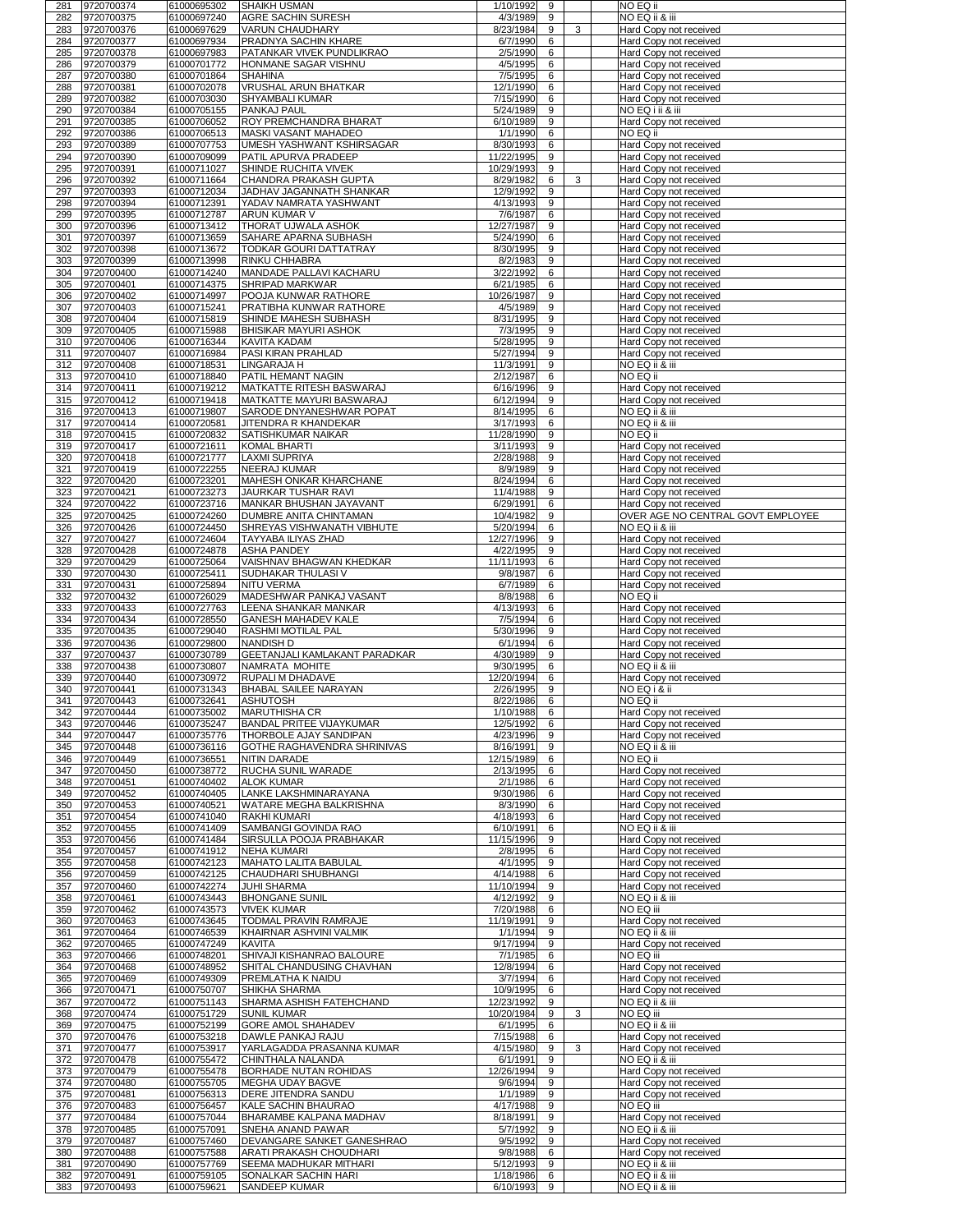| 281<br>282 | 9720700374<br>9720700375     | 61000695302<br>61000697240 | <b>SHAIKH USMAN</b><br><b>AGRE SACHIN SURESH</b>                    | 1/10/1992<br>4/3/1989    | 9<br>9              |   | NO EQ ii<br>NO EQ ii & iii                              |
|------------|------------------------------|----------------------------|---------------------------------------------------------------------|--------------------------|---------------------|---|---------------------------------------------------------|
| 283        | 9720700376                   | 61000697629                | VARUN CHAUDHARY                                                     | 8/23/1984                | 9                   | 3 | Hard Copy not received                                  |
| 284<br>285 | 9720700377<br>9720700378     | 61000697934<br>61000697983 | <b>PRADNYA SACHIN KHARE</b><br><b>PATANKAR VIVEK PUNDLIKRAO</b>     | 6/7/1990<br>2/5/1990     | 6<br>6              |   | Hard Copy not received<br>Hard Copy not received        |
| 286        | 9720700379                   | 61000701772                | <b>HONMANE SAGAR VISHNU</b>                                         | 4/5/1995                 | 6                   |   | Hard Copy not received                                  |
| 287<br>288 | 9720700380<br>9720700381     | 61000701864<br>61000702078 | <b>SHAHINA</b><br><b>VRUSHAL ARUN BHATKAR</b>                       | 7/5/1995<br>12/1/1990    | 6<br>6              |   | Hard Copy not received<br>Hard Copy not received        |
| 289        | 9720700382                   | 61000703030                | SHYAMBALI KUMAR                                                     | 7/15/1990                | 6                   |   | Hard Copy not received                                  |
| 290        | 9720700384                   | 61000705155                | <b>PANKAJ PAUL</b>                                                  | 5/24/1989                | 9                   |   | NO EQ i ii & iii                                        |
| 291<br>292 | 9720700385<br>9720700386     | 61000706052<br>61000706513 | <b>ROY PREMCHANDRA BHARAT</b><br><b>MASKI VASANT MAHADEO</b>        | 6/10/1989<br>1/1/1990    | 9<br>6              |   | Hard Copy not received<br>NO EQ ii                      |
| 293        | 9720700389                   | 61000707753                | UMESH YASHWANT KSHIRSAGAR                                           | 8/30/1993                | 6                   |   | Hard Copy not received                                  |
| 294<br>295 | 9720700390<br>9720700391     | 61000709099<br>61000711027 | <b>PATIL APURVA PRADEEP</b><br><b>SHINDE RUCHITA VIVEK</b>          | 11/22/1995<br>10/29/1993 | 9<br>9              |   | Hard Copy not received<br><b>Hard Copy not received</b> |
| 296        | 9720700392                   | 61000711664                | CHANDRA PRAKASH GUPTA                                               | 8/29/1982                | 6                   | 3 | Hard Copy not received                                  |
| 297<br>298 | 9720700393<br>9720700394     | 61000712034<br>61000712391 | JADHAV JAGANNATH SHANKAR<br>YADAV NAMRATA YASHWANT                  | 12/9/1992<br>4/13/1993   | 9<br>9              |   | Hard Copy not received<br>Hard Copy not received        |
| 299        | 9720700395                   | 61000712787                | ARUN KUMAR V                                                        | 7/6/1987                 | 6                   |   | Hard Copy not received                                  |
| 300<br>301 | 9720700396<br>9720700397     | 61000713412<br>61000713659 | <b>THORAT UJWALA ASHOK</b><br><b>SAHARE APARNA SUBHASH</b>          | 12/27/1987<br>5/24/1990  | 9<br>6              |   | Hard Copy not received<br>Hard Copy not received        |
| 302        | 9720700398                   | 61000713672                | TODKAR GOURI DATTATRAY                                              | 8/30/1995                | 9                   |   | Hard Copy not received                                  |
| 303<br>304 | 9720700399<br>9720700400     | 61000713998<br>61000714240 | <b>RINKU CHHABRA</b><br><b>MANDADE PALLAVI KACHARU</b>              | 8/2/1983<br>3/22/1992    | 9<br>6              |   | Hard Copy not received<br>Hard Copy not received        |
| 305        | 9720700401                   | 61000714375                | <b>SHRIPAD MARKWAR</b>                                              | 6/21/1985                | 6                   |   | Hard Copy not received                                  |
| 306        | 9720700402                   | 61000714997                | <b>POOJA KUNWAR RATHORE</b><br><b>PRATIBHA KUNWAR RATHORE</b>       | 10/26/1987               | 9<br>9              |   | Hard Copy not received                                  |
| 307<br>308 | 9720700403<br>9720700404     | 61000715241<br>61000715819 | <b>SHINDE MAHESH SUBHASH</b>                                        | 4/5/1989<br>8/31/1995    | 9                   |   | Hard Copy not received<br>Hard Copy not received        |
| 309        | 9720700405                   | 61000715988                | <b>BHISIKAR MAYURI ASHOK</b>                                        | 7/3/1995                 | 9                   |   | Hard Copy not received                                  |
| 310<br>311 | 9720700406<br>9720700407     | 61000716344<br>61000716984 | KAVITA KADAM<br><b>PASI KIRAN PRAHLAD</b>                           | 5/28/1995<br>5/27/1994   | 9<br>9              |   | Hard Copy not received<br><b>Hard Copy not received</b> |
| 312        | 9720700408                   | 61000718531                | LINGARAJA H                                                         | 11/3/1991                | 9                   |   | NO EQ ii & iii                                          |
| 313<br>314 | 9720700410<br>9720700411     | 61000718840<br>61000719212 | <b>PATIL HEMANT NAGIN</b><br><b>IMATKATTE RITESH BASWARAJ</b>       | 2/12/1987<br>6/16/1996   | 6<br>9              |   | NO EQ ii<br>Hard Copy not received                      |
| 315        | 9720700412                   | 61000719418                | <b>MATKATTE MAYURI BASWARAJ</b>                                     | 6/12/1994                | 9                   |   | Hard Copy not received                                  |
| 316<br>317 | 9720700413<br>9720700414     | 61000719807<br>61000720581 | SARODE DNYANESHWAR POPAT<br>JITENDRA R KHANDEKAR                    | 8/14/1995<br>3/17/1993   | 6<br>6              |   | NO EQ ii & iii<br>NO EQ ii & iii                        |
| 318        | 9720700415                   | 61000720832                | SATISHKUMAR NAIKAR                                                  | 11/28/1990               | 9                   |   | NO EQ ii                                                |
| 319<br>320 | 9720700417<br>9720700418     | 61000721611<br>61000721777 | <b>KOMAL BHARTI</b><br>LAXMI SUPRIYA                                | 3/11/1993<br>2/28/1988   | 9<br>9              |   | Hard Copy not received<br>Hard Copy not received        |
| 321        | 9720700419                   | 61000722255                | <b>NEERAJ KUMAR</b>                                                 | 8/9/1989                 | 9                   |   | Hard Copy not received                                  |
| 322<br>323 | 9720700420<br>9720700421     | 61000723201<br>61000723273 | <b>MAHESH ONKAR KHARCHANE</b><br><b>JAURKAR TUSHAR RAVI</b>         | 8/24/1994                | 6<br>9              |   | Hard Copy not received                                  |
| 324        | 9720700422                   | 61000723716                | MANKAR BHUSHAN JAYAVANT                                             | 11/4/1988<br>6/29/1991   | 6                   |   | Hard Copy not received<br>Hard Copy not received        |
| 325        | 9720700425                   | 61000724260                | <b>DUMBRE ANITA CHINTAMAN</b>                                       | 10/4/1982                | 9                   |   | OVER AGE NO CENTRAL GOVT EMPLOYEE                       |
| 326<br>327 | 9720700426<br>9720700427     | 61000724450<br>61000724604 | <b>SHREYAS VISHWANATH VIBHUTE</b><br><b>TAYYABA ILIYAS ZHAD</b>     | 5/20/1994<br>12/27/1996  | 6<br>9              |   | NO EQ ii & iii<br>Hard Copy not received                |
| 328        | 9720700428                   | 61000724878                | <b>ASHA PANDEY</b>                                                  | 4/22/1995                | 9                   |   | Hard Copy not received                                  |
| 329<br>330 | 9720700429<br>9720700430     | 61000725064<br>61000725411 | VAISHNAV BHAGWAN KHEDKAR<br> SUDHAKAR THULASI V                     | 11/11/1993<br>9/8/1987   | 6<br>6              |   | Hard Copy not received<br>Hard Copy not received        |
| 331        | 9720700431                   | 61000725894                | <b>NITU VERMA</b>                                                   | 6/7/1989                 | 6                   |   | Hard Copy not received                                  |
| 332<br>333 | 9720700432<br>9720700433     | 61000726029<br>61000727763 | MADESHWAR PANKAJ VASANT<br>LEENA SHANKAR MANKAR                     | 8/8/1988<br>4/13/1993    | 6<br>6              |   | NO EQ ii<br>Hard Copy not received                      |
| 334        | 9720700434                   | 61000728550                | <b>GANESH MAHADEV KALE</b>                                          | 7/5/1994                 | 6                   |   | Hard Copy not received                                  |
| 335<br>336 | 9720700435<br>9720700436     | 61000729040<br>61000729800 | <b>RASHMI MOTILAL PAL</b><br><b>NANDISH D</b>                       | 5/30/1996<br>6/1/1994    | 9<br>6              |   | <b>Hard Copy not received</b><br>Hard Copy not received |
| 337        | 9720700437                   | 61000730789                | <b>GEETANJALI KAMLAKANT PARADKAR</b>                                | 4/30/1989                | 9                   |   | Hard Copy not received                                  |
| 338<br>339 | 9720700438<br>9720700440     | 61000730807<br>61000730972 | NAMRATA MOHITE<br><b>RUPALI M DHADAVE</b>                           | 9/30/1995<br>12/20/1994  | 6<br>6              |   | NO EQ ii & iii<br>Hard Copy not received                |
| 340        | 9720700441                   | 61000731343                | <b>BHABAL SAILEE NARAYAN</b>                                        | 2/26/1995                | 9                   |   | NO EQ i & ii                                            |
| 341<br>342 | 9720700443<br>9720700444     | 61000732641<br>61000735002 | <b>ASHUTOSH</b><br><b>MARUTHISHA CR</b>                             | 8/22/1986<br>1/10/1988   | 6<br>6              |   | NO EQ ii<br>Hard Copy not received                      |
| 343        | 9720700446                   | 61000735247                | <b>BANDAL PRITEE VIJAYKUMAR</b>                                     | 12/5/1992                | 6                   |   | Hard Copy not received                                  |
| 344<br>345 | 9720700447<br>9720700448     | 61000735776<br>61000736116 | <b>THORBOLE AJAY SANDIPAN</b><br><b>GOTHE RAGHAVENDRA SHRINIVAS</b> | 4/23/1996<br>8/16/1991   | 9<br>9              |   | Hard Copy not received<br>NO EQ ii & iii                |
| 346        | 9720700449                   | 61000736551                | NITIN DARADE                                                        | 12/15/1989               | 6                   |   | NO EQ ii                                                |
| 347        | 9720700450                   | 61000738772                | <b>RUCHA SUNIL WARADE</b>                                           | 2/13/1995                | 6                   |   | Hard Copy not received                                  |
| 348<br>349 | 9720700451<br>9720700452     | 61000740402<br>61000740405 | <b>ALOK KUMAR</b><br>LANKE LAKSHMINARAYANA                          | 2/1/1986<br>9/30/1986    | 6<br>6              |   | Hard Copy not received<br>Hard Copy not received        |
| 350        | 9720700453                   | 61000740521                | <b>WATARE MEGHA BALKRISHNA</b>                                      | 8/3/1990                 | 6                   |   | Hard Copy not received                                  |
| 351<br>352 | 9720700454<br>9720700455     | 61000741040<br>61000741409 | <b>RAKHI KUMARI</b><br>SAMBANGI GOVINDA RAO                         | 4/18/1993<br>6/10/1991   | 6<br>6              |   | Hard Copy not received<br>NO EQ ii & iii                |
| 353        | 9720700456                   | 61000741484                | SIRSULLA POOJA PRABHAKAR                                            | 11/15/1996               | 9                   |   | Hard Copy not received                                  |
| 354<br>355 | 9720700457<br>9720700458     | 61000741912<br>61000742123 | <b>NEHA KUMARI</b><br>MAHATO LALITA BABULAL                         | 2/8/1995<br>4/1/1995     | 6<br>9              |   | Hard Copy not received<br>Hard Copy not received        |
| 356        | 9720700459                   | 61000742125                | CHAUDHARI SHUBHANGI                                                 | 4/14/1988                | 6                   |   | Hard Copy not received                                  |
| 357<br>358 | 9720700460<br>9720700461     | 61000742274<br>61000743443 | <b>JUHI SHARMA</b><br><b>BHONGANE SUNIL</b>                         | 11/10/1994<br>4/12/1992  | 9<br>9              |   | Hard Copy not received<br>NO EQ ii & iii                |
| 359        | 9720700462                   | 61000743573                | <b>VIVEK KUMAR</b>                                                  | 7/20/1988                | 6                   |   | NO EQ iii                                               |
| 360<br>361 | 9720700463<br>9720700464     | 61000743645<br>61000746539 | TODMAL PRAVIN RAMRAJE<br>KHAIRNAR ASHVINI VALMIK                    | 11/19/1991<br>1/1/1994   | 9<br>9              |   | Hard Copy not received<br>NO EQ ii & iii                |
| 362        | 9720700465                   | 61000747249                | KAVITA                                                              | 9/17/1994                | 9                   |   | Hard Copy not received                                  |
| 363<br>364 | 9720700466<br>9720700468     | 61000748201<br>61000748952 | SHIVAJI KISHANRAO BALOURE<br><b>SHITAL CHANDUSING CHAVHAN</b>       | 7/1/1985<br>12/8/1994    | 6<br>6              |   | NO EQ iii<br>Hard Copy not received                     |
| 365        | 9720700469                   | 61000749309                | <b>PREMLATHA K NAIDU</b>                                            | 3/7/1994                 | 6                   |   | Hard Copy not received                                  |
| 366<br>367 | 9720700471<br>9720700472     | 61000750707<br>61000751143 | SHIKHA SHARMA<br>SHARMA ASHISH FATEHCHAND                           | 10/9/1995<br>12/23/1992  | 6<br>9              |   | Hard Copy not received<br>NO EQ ii & iii                |
| 368        | 9720700474                   | 61000751729                | <b>SUNIL KUMAR</b>                                                  | 10/20/1984               | 9                   | 3 | NO EQ iii                                               |
| 369<br>370 |                              |                            | <b>GORE AMOL SHAHADEV</b>                                           | 6/1/1995                 | 6                   |   | NO EQ ii & iii                                          |
|            | 9720700475                   | 61000752199                |                                                                     |                          |                     |   |                                                         |
| 371        | 9720700476<br>9720700477     | 61000753218<br>61000753917 | DAWLE PANKAJ RAJU<br>YARLAGADDA PRASANNA KUMAR                      | 7/15/1988<br>4/15/1980   | 6<br>9              | 3 | Hard Copy not received<br>Hard Copy not received        |
| 372        | 9720700478                   | 61000755472                | <b>CHINTHALA NALANDA</b>                                            | 6/1/1991                 | 9                   |   | NO EQ ii & iii                                          |
| 374        | 373 9720700479<br>9720700480 | 61000755478<br>61000755705 | <b>BORHADE NUTAN ROHIDAS</b><br><b>MEGHA UDAY BAGVE</b>             | 12/26/1994<br>9/6/1994   | $\overline{9}$<br>9 |   | Hard Copy not received<br>Hard Copy not received        |
| 375        | 9720700481                   | 61000756313                | <b>IDERE JITENDRA SANDU</b>                                         | 1/1/1989                 | 9                   |   | Hard Copy not received                                  |
| 376<br>377 | 9720700483<br>9720700484     | 61000756457<br>61000757044 | <b>KALE SACHIN BHAURAO</b><br><b>BHARAMBE KALPANA MADHAV</b>        | 4/17/1988<br>8/18/1991   | 9<br>9              |   | NO EQ iii<br>Hard Copy not received                     |
| 378        | 9720700485                   | 61000757091                | SNEHA ANAND PAWAR                                                   | 5/7/1992                 | 9                   |   | NO EQ ii & iii                                          |
| 379<br>380 | 9720700487<br>9720700488     | 61000757460<br>61000757588 | <b>DEVANGARE SANKET GANESHRAO</b><br>ARATI PRAKASH CHOUDHARI        | 9/5/1992<br>9/8/1988     | 9<br>6              |   | Hard Copy not received<br>Hard Copy not received        |
| 381<br>382 | 9720700490<br>9720700491     | 61000757769<br>61000759105 | <b>SEEMA MADHUKAR MITHARI</b><br><b>SONALKAR SACHIN HARI</b>        | 5/12/1993<br>1/18/1986   | 9<br>6              |   | NO EQ ii & iii<br>NO EQ ii & iii                        |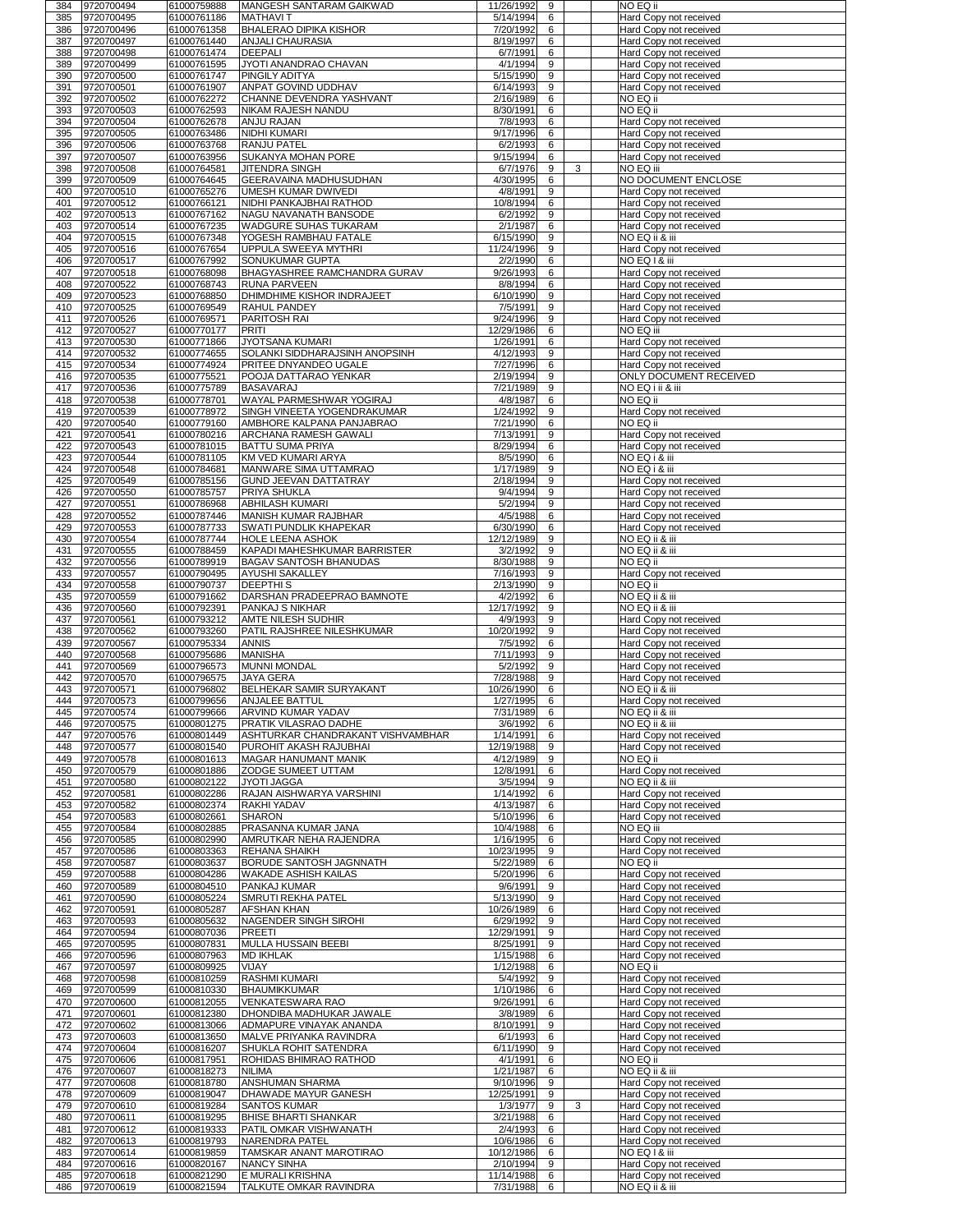| 384        | 9720700494               | 61000759888                | <b>MANGESH SANTARAM GAIKWAD</b>                                       | 11/26/1992              | 9                    |   | NO EQ ii                                                |
|------------|--------------------------|----------------------------|-----------------------------------------------------------------------|-------------------------|----------------------|---|---------------------------------------------------------|
| 385<br>386 | 9720700495<br>9720700496 | 61000761186<br>61000761358 | <b>MATHAVIT</b><br><b>BHALERAO DIPIKA KISHOR</b>                      | 5/14/1994<br>7/20/1992  | 6<br>6               |   | Hard Copy not received                                  |
| 387        | 9720700497               | 61000761440                | <b>ANJALI CHAURASIA</b>                                               | 8/19/1997               | 6                    |   | Hard Copy not received<br>Hard Copy not received        |
| 388        | 9720700498               | 61000761474                | DEEPALI                                                               | 6/7/1991                | 6                    |   | Hard Copy not received                                  |
| 389        | 9720700499               | 61000761595                | <b>JYOTI ANANDRAO CHAVAN</b>                                          | 4/1/1994                | 9                    |   | Hard Copy not received                                  |
| 390<br>391 | 9720700500<br>9720700501 | 61000761747<br>61000761907 | <b>PINGILY ADITYA</b><br>ANPAT GOVIND UDDHAV                          | 5/15/1990<br>6/14/1993  | 9<br>9               |   | Hard Copy not received<br>Hard Copy not received        |
| 392        | 9720700502               | 61000762272                | CHANNE DEVENDRA YASHVANT                                              | 2/16/1989               | 6                    |   | NO EQ ii                                                |
| 393        | 9720700503               | 61000762593                | NIKAM RAJESH NANDU                                                    | 8/30/1991               | 6                    |   | NO EQ ii                                                |
| 394        | 9720700504               | 61000762678                | <b>ANJU RAJAN</b>                                                     | 7/8/1993                | 6                    |   | Hard Copy not received                                  |
| 395<br>396 | 9720700505<br>9720700506 | 61000763486<br>61000763768 | NIDHI KUMARI<br><b>RANJU PATEL</b>                                    | 9/17/1996<br>6/2/1993   | 6<br>6               |   | Hard Copy not received<br>Hard Copy not received        |
| 397        | 9720700507               | 61000763956                | <b>SUKANYA MOHAN PORE</b>                                             | 9/15/1994               | 6                    |   | Hard Copy not received                                  |
| 398        | 9720700508               | 61000764581                | <b>JITENDRA SINGH</b>                                                 | 6/7/1976                | 9                    | 3 | NO EQ iii                                               |
| 399        | 9720700509               | 61000764645                | <b>GEERAVAINA MADHUSUDHAN</b>                                         | 4/30/1995               | 6                    |   | <b>NO DOCUMENT ENCLOSE</b>                              |
| 400<br>401 | 9720700510<br>9720700512 | 61000765276<br>61000766121 | UMESH KUMAR DWIVEDI<br>NIDHI PANKAJBHAI RATHOD                        | 4/8/1991<br>10/8/1994   | 9<br>6               |   | Hard Copy not received<br>Hard Copy not received        |
| 402        | 9720700513               | 61000767162                | <b>NAGU NAVANATH BANSODE</b>                                          | 6/2/1992                | 9                    |   | Hard Copy not received                                  |
| 403        | 9720700514               | 61000767235                | WADGURE SUHAS TUKARAM                                                 | 2/1/1987                | 6                    |   | Hard Copy not received                                  |
| 404        | 9720700515               | 61000767348                | <b>YOGESH RAMBHAU FATALE</b>                                          | 6/15/1990               | 9                    |   | NO EQ ii & iii                                          |
| 405<br>406 | 9720700516<br>9720700517 | 61000767654<br>61000767992 | <b>UPPULA SWEEYA MYTHRI</b><br>SONUKUMAR GUPTA                        | 11/24/1996<br>2/2/1990  | 9<br>$6\phantom{1}$  |   | Hard Copy not received<br>NO EQ 1 & iii                 |
| 407        | 9720700518               | 61000768098                | <b>BHAGYASHREE RAMCHANDRA GURAV</b>                                   | 9/26/1993               | 6                    |   | Hard Copy not received                                  |
| 408        | 9720700522               | 61000768743                | <b>RUNA PARVEEN</b>                                                   | 8/8/1994                | 6                    |   | Hard Copy not received                                  |
| 409<br>410 | 9720700523<br>9720700525 | 61000768850<br>61000769549 | DHIMDHIME KISHOR INDRAJEET<br><b>RAHUL PANDEY</b>                     | 6/10/1990<br>7/5/1991   | 9<br>9               |   | Hard Copy not received                                  |
| 411        | 9720700526               | 61000769571                | <b>PARITOSH RAI</b>                                                   | 9/24/1996               | 9                    |   | Hard Copy not received<br>Hard Copy not received        |
| 412        | 9720700527               | 61000770177                | PRITI                                                                 | 12/29/1986              | 6                    |   | NO EQ iii                                               |
| 413        | 9720700530               | 61000771866                | JYOTSANA KUMARI                                                       | 1/26/1991               | 6                    |   | Hard Copy not received                                  |
| 414<br>415 | 9720700532<br>9720700534 | 61000774655<br>61000774924 | <b>SOLANKI SIDDHARAJSINH ANOPSINH</b><br><b>PRITEE DNYANDEO UGALE</b> | 4/12/1993<br>7/27/1996  | 9<br>6               |   | <b>Hard Copy not received</b><br>Hard Copy not received |
| 416        | 9720700535               | 61000775521                | <b>POOJA DATTARAO YENKAR</b>                                          | 2/19/1994               | 9                    |   | <b>ONLY DOCUMENT RECEIVED</b>                           |
| 417        | 9720700536               | 61000775789                | <b>BASAVARAJ</b>                                                      | 7/21/1989               | 9                    |   | NO EQ i ii & iii                                        |
| 418        | 9720700538               | 61000778701                | <b>WAYAL PARMESHWAR YOGIRAJ</b>                                       | 4/8/1987                | 6                    |   | NO EQ ii                                                |
| 419<br>420 | 9720700539<br>9720700540 | 61000778972<br>61000779160 | SINGH VINEETA YOGENDRAKUMAR<br><b>AMBHORE KALPANA PANJABRAO</b>       | 1/24/1992<br>7/21/1990  | 9<br>6               |   | Hard Copy not received<br>NO EQ ii                      |
| 421        | 9720700541               | 61000780216                | <b>ARCHANA RAMESH GAWALI</b>                                          | 7/13/1991               | 9                    |   | Hard Copy not received                                  |
| 422        | 9720700543               | 61000781015                | <b>BATTU SUMA PRIYA</b>                                               | 8/29/1994               | 6                    |   | Hard Copy not received                                  |
| 423        | 9720700544               | 61000781105                | KM VED KUMARI ARYA                                                    | 8/5/1990                | 6                    |   | NO EQ i & iii                                           |
| 424<br>425 | 9720700548<br>9720700549 | 61000784681<br>61000785156 | MANWARE SIMA UTTAMRAO<br><b>GUND JEEVAN DATTATRAY</b>                 | 1/17/1989<br>2/18/1994  | 9<br>$9\,$           |   | NO EQ i & iii<br>Hard Copy not received                 |
| 426        | 9720700550               | 61000785757                | <b>PRIYA SHUKLA</b>                                                   | 9/4/1994                | 9                    |   | Hard Copy not received                                  |
| 427        | 9720700551               | 61000786968                | <b>ABHILASH KUMARI</b>                                                | 5/2/1994                | 9                    |   | Hard Copy not received                                  |
| 428        | 9720700552               | 61000787446                | MANISH KUMAR RAJBHAR                                                  | 4/5/1988                | 6                    |   | Hard Copy not received                                  |
| 429<br>430 | 9720700553<br>9720700554 | 61000787733<br>61000787744 | <b>SWATI PUNDLIK KHAPEKAR</b><br><b>HOLE LEENA ASHOK</b>              | 6/30/1990<br>12/12/1989 | 6<br>9               |   | Hard Copy not received<br>NO EQ ii & iii                |
| 431        | 9720700555               | 61000788459                | KAPADI MAHESHKUMAR BARRISTER                                          | 3/2/1992                | 9                    |   | NO EQ ii & iii                                          |
| 432        | 9720700556               | 61000789919                | <b>BAGAV SANTOSH BHANUDAS</b>                                         | 8/30/1988               | 9                    |   | NO EQ ii                                                |
| 433        | 9720700557               | 61000790495                | AYUSHI SAKALLEY                                                       | 7/16/1993               | 9                    |   | Hard Copy not received                                  |
| 434<br>435 | 9720700558<br>9720700559 | 61000790737<br>61000791662 | <b>DEEPTHIS</b><br>DARSHAN PRADEEPRAO BAMNOTE                         | 2/13/1990<br>4/2/1992   | 9<br>6               |   | NO EQ ii<br>NO EQ ii & iii                              |
| 436        | 9720700560               | 61000792391                | <b>PANKAJ S NIKHAR</b>                                                | 12/17/1992              | 9                    |   | NO EQ ii & iii                                          |
| 437        | 9720700561               | 61000793212                | <b>AMTE NILESH SUDHIR</b>                                             | 4/9/1993                | 9                    |   | Hard Copy not received                                  |
| 438        | 9720700562               | 61000793260                | <b>PATIL RAJSHREE NILESHKUMAR</b>                                     | 10/20/1992              | 9                    |   | <b>Hard Copy not received</b>                           |
| 439<br>440 | 9720700567<br>9720700568 | 61000795334<br>61000795686 | <b>ANNIS</b><br><b>MANISHA</b>                                        | 7/5/1992<br>7/11/1993   | 6<br>9               |   | Hard Copy not received<br>Hard Copy not received        |
| 441        | 9720700569               | 61000796573                | <b>MUNNI MONDAL</b>                                                   | 5/2/1992                | 9                    |   | Hard Copy not received                                  |
| 442        | 9720700570               | 61000796575                | <b>JAYA GERA</b>                                                      | 7/28/1988               | 9                    |   | Hard Copy not received                                  |
| 443<br>444 | 9720700571<br>9720700573 | 61000796802<br>61000799656 | <b>BELHEKAR SAMIR SURYAKANT</b><br><b>ANJALEE BATTUL</b>              | 10/26/1990<br>1/27/1995 | 6<br>6               |   | NO EQ ii & iii                                          |
| 445        | 9720700574               | 61000799666                | <b>ARVIND KUMAR YADAV</b>                                             | 7/31/1989               | 6                    |   | Hard Copy not received<br>NO EQ ii & iii                |
| 446        | 9720700575               | 61000801275                | <b>PRATIK VILASRAO DADHE</b>                                          | 3/6/1992                | 6                    |   | NO EQ ii & iii                                          |
| 447        | 9720700576               | 61000801449                | ASHTURKAR CHANDRAKANT VISHVAMBHAR                                     | 1/14/1991               | 6                    |   | Hard Copy not received                                  |
| 448<br>449 | 9720700577<br>9720700578 | 61000801540<br>61000801613 | <b>PUROHIT AKASH RAJUBHAI</b><br><b>MAGAR HANUMANT MANIK</b>          | 12/19/1988<br>4/12/1989 | 9<br>9               |   | Hard Copy not received<br>NO EQ ii                      |
| 450        | 9720700579               | 61000801886                | <b>ZODGE SUMEET UTTAM</b>                                             | 12/8/1991               | 6                    |   | Hard Copy not received                                  |
| 451        | 9720700580               | 61000802122                | <b>JYOTI JAGGA</b>                                                    | 3/5/1994                | 9                    |   | NO EQ ii & iii                                          |
| 452        | 9720700581               | 61000802286                | <b>RAJAN AISHWARYA VARSHINI</b>                                       | 1/14/1992               | 6                    |   | Hard Copy not received                                  |
| 453<br>454 | 9720700582<br>9720700583 | 61000802374<br>61000802661 | <b>RAKHI YADAV</b><br><b>SHARON</b>                                   | 4/13/1987<br>5/10/1996  | 6<br>6               |   | Hard Copy not received<br>Hard Copy not received        |
| 455        | 9720700584               | 61000802885                | <b>PRASANNA KUMAR JANA</b>                                            | 10/4/1988               | 6                    |   | NO EQ iii                                               |
| 456        | 9720700585               | 61000802990                | <b>AMRUTKAR NEHA RAJENDRA</b>                                         | 1/16/1995               | 6                    |   | Hard Copy not received                                  |
| 457        | 9720700586               | 61000803363                | <b>REHANA SHAIKH</b><br><b>BORUDE SANTOSH JAGNNATH</b>                | 10/23/1995              | 9<br>6               |   | Hard Copy not received<br>NO EQ ii                      |
| 458<br>459 | 9720700587<br>9720700588 | 61000803637<br>61000804286 | <b>WAKADE ASHISH KAILAS</b>                                           | 5/22/1989<br>5/20/1996  | 6                    |   | Hard Copy not received                                  |
| 460        | 9720700589               | 61000804510                | <b>PANKAJ KUMAR</b>                                                   | 9/6/1991                | 9                    |   | Hard Copy not received                                  |
| 461        | 9720700590               | 61000805224                | SMRUTI REKHA PATEL                                                    | 5/13/1990               | 9                    |   | Hard Copy not received                                  |
| 462<br>463 | 9720700591<br>9720700593 | 61000805287<br>61000805632 | <b>AFSHAN KHAN</b><br><b>NAGENDER SINGH SIROHI</b>                    | 10/26/1989<br>6/29/1992 | 6<br>9               |   | Hard Copy not received<br>Hard Copy not received        |
| 464        | 9720700594               | 61000807036                | <b>PREETI</b>                                                         | 12/29/1991              | 9                    |   | Hard Copy not received                                  |
| 465        | 9720700595               | 61000807831                | MULLA HUSSAIN BEEBI                                                   | 8/25/1991               | 9                    |   | Hard Copy not received                                  |
| 466        | 9720700596               | 61000807963                | <b>MD IKHLAK</b>                                                      | 1/15/1988               | 6                    |   | Hard Copy not received                                  |
| 467<br>468 | 9720700597<br>9720700598 | 61000809925<br>61000810259 | <b>VIJAY</b><br><b>RASHMI KUMARI</b>                                  | 1/12/1988<br>5/4/1992   | 6<br>9               |   | NO EQ ii<br>Hard Copy not received                      |
| 469        | 9720700599               | 61000810330                | <b>BHAUMIKKUMAR</b>                                                   | 1/10/1986               | 6                    |   | Hard Copy not received                                  |
| 470        | 9720700600               | 61000812055                | <b>VENKATESWARA RAO</b>                                               | 9/26/1991               | 6                    |   | Hard Copy not received                                  |
| 471        | 9720700601               | 61000812380                | DHONDIBA MADHUKAR JAWALE                                              | 3/8/1989                | 6                    |   | Hard Copy not received                                  |
| 472<br>473 | 9720700602<br>9720700603 | 61000813066<br>61000813650 | <b>ADMAPURE VINAYAK ANANDA</b><br>MALVE PRIYANKA RAVINDRA             | 8/10/1991<br>6/1/1993   | 9<br>6               |   | Hard Copy not received<br>Hard Copy not received        |
| 474        | 9720700604               | 61000816207                | SHUKLA ROHIT SATENDRA                                                 | 6/11/1990               | 9                    |   | Hard Copy not received                                  |
| 475        | 9720700606               | 61000817951                | <b>ROHIDAS BHIMRAO RATHOD</b>                                         | 4/1/1991                | 6                    |   | NO EQ ii                                                |
|            | 476 9720700607           | 61000818273<br>61000818780 | NILIMA<br>ANSHUMAN SHARMA                                             | 1/21/1987               | $6\overline{6}$<br>9 |   | NO EQ ii & iii                                          |
| 477<br>478 | 9720700608<br>9720700609 | 61000819047                | <b>DHAWADE MAYUR GANESH</b>                                           | 9/10/1996<br>12/25/1991 | 9                    |   | Hard Copy not received<br>Hard Copy not received        |
| 479        | 9720700610               | 61000819284                | SANTOS KUMAR                                                          | 1/3/1977                | 9                    | 3 | Hard Copy not received                                  |
| 480        | 9720700611               | 61000819295                | <b>BHISE BHARTI SHANKAR</b>                                           | 3/21/1988               | 6                    |   | Hard Copy not received                                  |
| 481<br>482 | 9720700612<br>9720700613 | 61000819333<br>61000819793 | <b>PATIL OMKAR VISHWANATH</b><br><b>NARENDRA PATEL</b>                | 2/4/1993<br>10/6/1986   | 6<br>6               |   | Hard Copy not received                                  |
| 483        | 9720700614               | 61000819859                | <b>TAMSKAR ANANT MAROTIRAO</b>                                        | 10/12/1986              | 6                    |   | Hard Copy not received<br>NO EQ I & iii                 |
| 484        | 9720700616               | 61000820167                | <b>NANCY SINHA</b>                                                    | 2/10/1994               | 9                    |   | Hard Copy not received                                  |
| 485        | 9720700618               | 61000821290                | <b>E MURALI KRISHNA</b>                                               | 11/14/1988              | 6                    |   | Hard Copy not received                                  |
| 486        | 9720700619               | 61000821594                | <b>TALKUTE OMKAR RAVINDRA</b>                                         | 7/31/1988               | 6                    |   | NO EQ ii & iii                                          |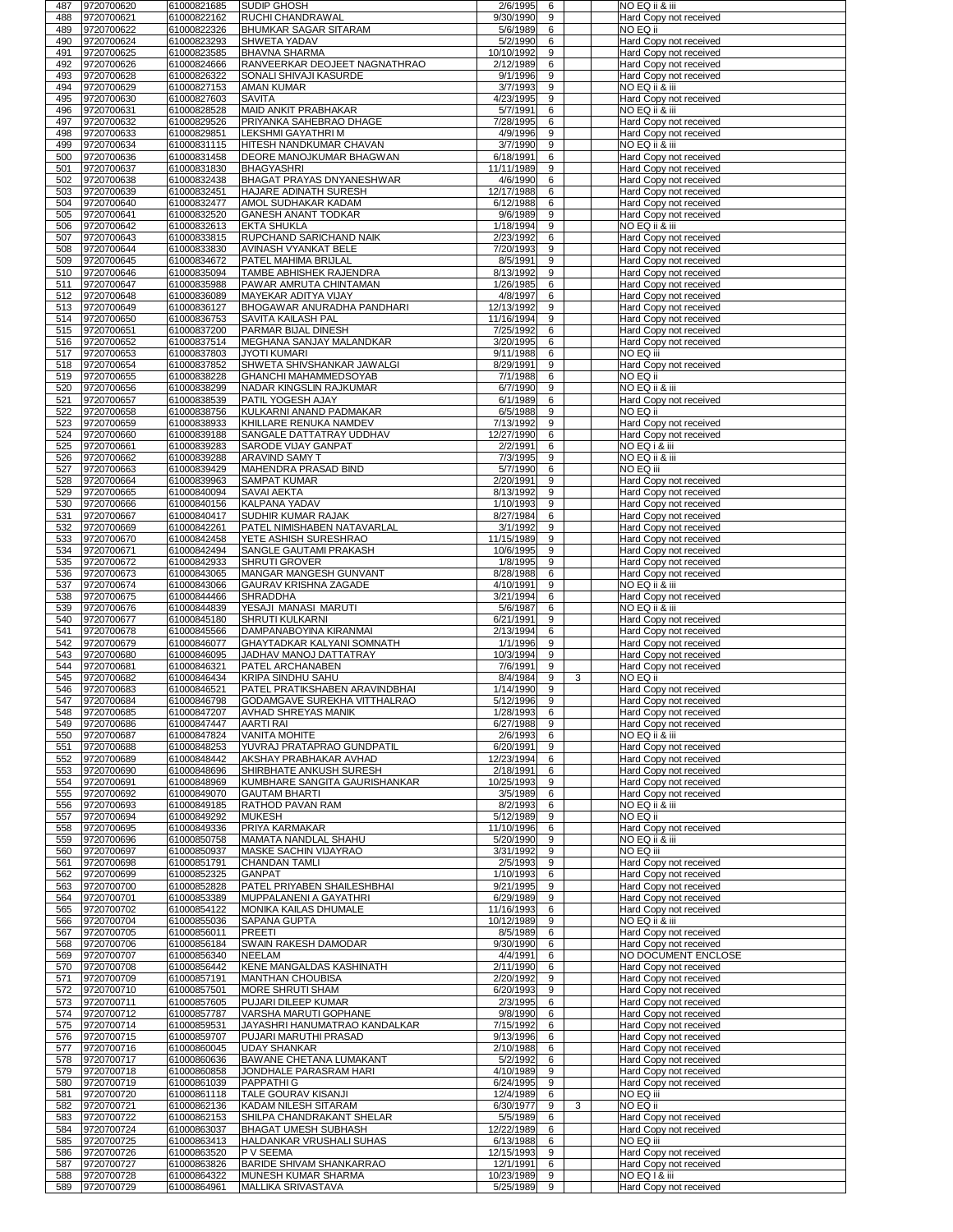| 488<br>489      | 9720700620               | 61000821685                | <b>SUDIP GHOSH</b>                                              | 2/6/1995                | 6             |   | NO EQ ii & iii                                   |
|-----------------|--------------------------|----------------------------|-----------------------------------------------------------------|-------------------------|---------------|---|--------------------------------------------------|
|                 | 9720700621               | 61000822162                | <b>RUCHI CHANDRAWAL</b>                                         | 9/30/1990               | 9             |   | Hard Copy not received                           |
|                 | 9720700622               | 61000822326                | <b>BHUMKAR SAGAR SITARAM</b>                                    | 5/6/1989                | 6             |   | NO EQ ii                                         |
| 490             | 9720700624               | 61000823293                | <b>SHWETA YADAV</b>                                             | 5/2/1990                | 6             |   | Hard Copy not received                           |
| 491             | 9720700625               | 61000823585                | <b>BHAVNA SHARMA</b>                                            | 10/10/1992              | 9<br>6        |   | Hard Copy not received                           |
| 492<br>493      | 9720700626<br>9720700628 | 61000824666<br>61000826322 | RANVEERKAR DEOJEET NAGNATHRAO<br><b>SONALI SHIVAJI KASURDE</b>  | 2/12/1989<br>9/1/1996   | 9             |   | Hard Copy not received<br>Hard Copy not received |
| 494             | 9720700629               | 61000827153                | <b>AMAN KUMAR</b>                                               | 3/7/1993                | 9             |   | NO EQ ii & iii                                   |
| 495             | 9720700630               | 61000827603                | <b>SAVITA</b>                                                   | 4/23/1995               | 9             |   | Hard Copy not received                           |
| 496             | 9720700631               | 61000828528                | <b>MAID ANKIT PRABHAKAR</b>                                     | 5/7/1991                | 6             |   | NO EQ ii & iii                                   |
| 497             | 9720700632               | 61000829526                | <b>PRIYANKA SAHEBRAO DHAGE</b>                                  | 7/28/1995               | 6             |   | Hard Copy not received                           |
| 498             | 9720700633               | 61000829851                | <b>LEKSHMI GAYATHRIM</b>                                        | 4/9/1996                | 9             |   | Hard Copy not received                           |
| 499             | 9720700634               | 61000831115                | <b>HITESH NANDKUMAR CHAVAN</b>                                  | 3/7/1990                | 9             |   | NO EQ ii & iii                                   |
| 500             | 9720700636               | 61000831458                | <b>IDEORE MANOJKUMAR BHAGWAN</b>                                | 6/18/1991               | 6             |   | Hard Copy not received                           |
| 501             | 9720700637               | 61000831830                | <b>BHAGYASHRI</b>                                               | 11/11/1989              | 9             |   | Hard Copy not received                           |
| 502             | 9720700638               | 61000832438                | <b>BHAGAT PRAYAS DNYANESHWAR</b>                                | 4/6/1990                | 6             |   | Hard Copy not received                           |
| 503<br>504      | 9720700639<br>9720700640 | 61000832451<br>61000832477 | <b>HAJARE ADINATH SURESH</b><br>AMOL SUDHAKAR KADAM             | 12/17/1988<br>6/12/1988 | 6<br>6        |   | Hard Copy not received                           |
| 505             | 9720700641               | 61000832520                | <b>GANESH ANANT TODKAR</b>                                      | 9/6/1989                | 9             |   | Hard Copy not received<br>Hard Copy not received |
| 506             | 9720700642               | 61000832613                | <b>EKTA SHUKLA</b>                                              | 1/18/1994               | 9             |   | NO EQ ii & iii                                   |
| 507             | 9720700643               | 61000833815                | <b>RUPCHAND SARICHAND NAIK</b>                                  | 2/23/1992               | 6             |   | Hard Copy not received                           |
| 508             | 9720700644               | 61000833830                | <b>AVINASH VYANKAT BELE</b>                                     | 7/20/1993               | 9             |   | Hard Copy not received                           |
| 509             | 9720700645               | 61000834672                | <b>PATEL MAHIMA BRIJLAL</b>                                     | 8/5/1991                | 9             |   | Hard Copy not received                           |
| 510             | 9720700646               | 61000835094                | <b>TAMBE ABHISHEK RAJENDRA</b>                                  | 8/13/1992               | 9             |   | Hard Copy not received                           |
| 511             | 9720700647               | 61000835988                | PAWAR AMRUTA CHINTAMAN                                          | 1/26/1985               | 6             |   | Hard Copy not received                           |
| 512             | 9720700648               | 61000836089                | <b>MAYEKAR ADITYA VIJAY</b>                                     | 4/8/1997                | 6             |   | Hard Copy not received                           |
| 513             | 9720700649               | 61000836127                | <b>BHOGAWAR ANURADHA PANDHARI</b>                               | 12/13/1992              | 9             |   | Hard Copy not received                           |
| 514<br>515      | 9720700650<br>9720700651 | 61000836753<br>61000837200 | <b>SAVITA KAILASH PAL</b><br><b>PARMAR BIJAL DINESH</b>         | 11/16/1994<br>7/25/1992 | 9<br>6        |   | Hard Copy not received<br>Hard Copy not received |
| 516             | 9720700652               | 61000837514                | MEGHANA SANJAY MALANDKAR                                        | 3/20/1995               | 6             |   | Hard Copy not received                           |
| 517             | 9720700653               | 61000837803                | <b>JYOTI KUMARI</b>                                             | 9/11/1988               | 6             |   | NO EQ iii                                        |
| 518             | 9720700654               | 61000837852                | <b>SHWETA SHIVSHANKAR JAWALGI</b>                               | 8/29/1991               | 9             |   | Hard Copy not received                           |
| 519             | 9720700655               | 61000838228                | <b>GHANCHI MAHAMMEDSOYAB</b>                                    | 7/1/1988                | 6             |   | NO EQ ii                                         |
| 520             | 9720700656               | 61000838299                | <b>NADAR KINGSLIN RAJKUMAR</b>                                  | 6/7/1990                | 9             |   | NO EQ ii & iii                                   |
| 521             | 9720700657               | 61000838539                | <b>PATIL YOGESH AJAY</b>                                        | 6/1/1989                | 6             |   | Hard Copy not received                           |
| 522             | 9720700658               | 61000838756                | KULKARNI ANAND PADMAKAR                                         | 6/5/1988                | 9             |   | NO EQ ii                                         |
| 523             | 9720700659               | 61000838933                | <b>KHILLARE RENUKA NAMDEV</b>                                   | 7/13/1992               | 9             |   | Hard Copy not received                           |
| 524<br>525      | 9720700660<br>9720700661 | 61000839188<br>61000839283 | <b>SANGALE DATTATRAY UDDHAV</b><br><b>SARODE VIJAY GANPAT</b>   | 12/27/1990<br>2/2/1991  | 6<br>6        |   | Hard Copy not received<br>NO EQ i & iii          |
| 526             | 9720700662               | 61000839288                | <b>ARAVIND SAMY T</b>                                           | 7/3/1995                | 9             |   | NO EQ ii & iii                                   |
| 527             | 9720700663               | 61000839429                | MAHENDRA PRASAD BIND                                            | 5/7/1990                | 6             |   | <b>NO EQ iii</b>                                 |
| 528             | 9720700664               | 61000839963                | <b>SAMPAT KUMAR</b>                                             | 2/20/1991               | 9             |   | Hard Copy not received                           |
| 529             | 9720700665               | 61000840094                | <b>SAVAI AEKTA</b>                                              | 8/13/1992               | 9             |   | Hard Copy not received                           |
| 530<br>531      | 9720700666<br>9720700667 | 61000840156<br>61000840417 | KALPANA YADAV<br><b>SUDHIR KUMAR RAJAK</b>                      | 1/10/1993<br>8/27/1984  | 9<br>6        |   | Hard Copy not received                           |
| 532             | 9720700669               | 61000842261                | <b>PATEL NIMISHABEN NATAVARLAL</b>                              | 3/1/1992                | 9             |   | Hard Copy not received<br>Hard Copy not received |
| 533             | 9720700670               | 61000842458                | YETE ASHISH SURESHRAO                                           | 11/15/1989              | 9             |   | Hard Copy not received                           |
| 534             | 9720700671               | 61000842494                | <b>SANGLE GAUTAMI PRAKASH</b>                                   | 10/6/1995               | 9             |   | Hard Copy not received                           |
| 535             | 9720700672               | 61000842933                | <b>SHRUTI GROVER</b>                                            | 1/8/1995                | 9             |   | Hard Copy not received                           |
| 536             | 9720700673               | 61000843065                | <b>IMANGAR MANGESH GUNVANT</b>                                  | 8/28/1988               | 6             |   | Hard Copy not received                           |
| 537             | 9720700674               | 61000843066                | <b>GAURAV KRISHNA ZAGADE</b>                                    | 4/10/1991               | 9             |   | NO EQ ii & iii                                   |
| 538<br>539      | 9720700675<br>9720700676 | 61000844466<br>61000844839 | <b>SHRADDHA</b><br>YESAJI MANASI MARUTI                         | 3/21/1994<br>5/6/1987   | 6<br>6        |   | Hard Copy not received<br>NO EQ ii & iii         |
| 540             | 9720700677               | 61000845180                | <b>SHRUTI KULKARNI</b>                                          | 6/21/1991               | 9             |   | Hard Copy not received                           |
| 541             | 9720700678               | 61000845566                | DAMPANABOYINA KIRANMAI                                          | 2/13/1994               | 6             |   | Hard Copy not received                           |
| 542             | 9720700679               | 61000846077                | <b>GHAYTADKAR KALYANI SOMNATH</b>                               | 1/1/1996                | 9             |   | Hard Copy not received                           |
| 543             | 9720700680               | 61000846095                | <b>JADHAV MANOJ DATTATRAY</b>                                   | 10/3/1994               | 9             |   | Hard Copy not received                           |
| 544<br>545      | 9720700681<br>9720700682 | 61000846321<br>61000846434 | <b>PATEL ARCHANABEN</b><br><b>KRIPA SINDHU SAHU</b>             | 7/6/1991<br>8/4/1984    | 9<br>9        | 3 | Hard Copy not received<br>NO EQ ii               |
| 546             | 9720700683               |                            | PATEL PRATIKSHABEN ARAVINDBHAI                                  | 1/14/1990               | 9             |   | Hard Copy not received                           |
|                 |                          |                            |                                                                 |                         |               |   |                                                  |
| 547             | 9720700684               | 61000846521<br>61000846798 | <b>GODAMGAVE SUREKHA VITTHALRAO</b>                             | 5/12/1996               | 9             |   |                                                  |
| 548             | 9720700685               | 61000847207                | <b>AVHAD SHREYAS MANIK</b>                                      | 1/28/1993               | 6             |   | Hard Copy not received<br>Hard Copy not received |
| 549             | 9720700686               | 61000847447                | <b>AARTI RAI</b>                                                | 6/27/1988               | 9             |   | Hard Copy not received                           |
| 550             | 9720700687               | 61000847824                | <b>VANITA MOHITE</b>                                            | 2/6/1993                | 6             |   | NO EQ ii & iii                                   |
| 551             | 9720700688               | 61000848253                | YUVRAJ PRATAPRAO GUNDPATIL                                      | 6/20/1991               | 9             |   | Hard Copy not received                           |
| 552             | 9720700689               | 61000848442                | <b>AKSHAY PRABHAKAR AVHAD</b>                                   | 12/23/1994              | 6<br>6        |   | Hard Copy not received                           |
| 553<br>554      | 9720700690<br>9720700691 | 61000848696<br>61000848969 | <b>SHIRBHATE ANKUSH SURESH</b><br>KUMBHARE SANGITA GAURISHANKAR | 2/18/1991<br>10/25/1993 | 9             |   | Hard Copy not received<br>Hard Copy not received |
| 555             | 9720700692               | 61000849070                | <b>GAUTAM BHARTI</b>                                            | 3/5/1989                | 6             |   | Hard Copy not received                           |
| 556             | 9720700693               | 61000849185                | <b>RATHOD PAVAN RAM</b>                                         | 8/2/1993                | 6             |   | NO EQ ii & iii                                   |
| 557             | 9720700694               | 61000849292                | <b>MUKESH</b>                                                   | 5/12/1989               | 9             |   | NO EQ ii                                         |
| 558             | 9720700695               | 61000849336                | <b>PRIYA KARMAKAR</b>                                           | 11/10/1996              | 6             |   | Hard Copy not received                           |
| 559<br>560      | 9720700696<br>9720700697 | 61000850758                | MAMATA NANDLAL SHAHU<br><b>MASKE SACHIN VIJAYRAO</b>            | 5/20/1990               | 9<br>9        |   | NO EQ ii & iii<br>NO EQ iii                      |
| 561             | 9720700698               | 61000850937<br>61000851791 | <b>CHANDAN TAMLI</b>                                            | 3/31/1992<br>2/5/1993   | 9             |   | Hard Copy not received                           |
| 562             | 9720700699               | 61000852325                | <b>GANPAT</b>                                                   | 1/10/1993               | 6             |   | Hard Copy not received                           |
| 563             | 9720700700               | 61000852828                | <b>PATEL PRIYABEN SHAILESHBHAI</b>                              | 9/21/1995               | 9             |   | Hard Copy not received                           |
| 564             | 9720700701               | 61000853389                | <b>MUPPALANENI A GAYATHRI</b>                                   | 6/29/1989               | 9             |   | Hard Copy not received                           |
| 565             | 9720700702               | 61000854122                | <b>MONIKA KAILAS DHUMALE</b>                                    | 11/16/1993              | 6             |   | Hard Copy not received                           |
| 566             | 9720700704               | 61000855036                | <b>SAPANA GUPTA</b>                                             | 10/12/1989              | 9             |   | NO EQ ii & iii                                   |
| 567<br>568      | 9720700705<br>9720700706 | 61000856011<br>61000856184 | PREETI<br><b>SWAIN RAKESH DAMODAR</b>                           | 8/5/1989<br>9/30/1990   | 6<br>6        |   | Hard Copy not received<br>Hard Copy not received |
| 569             | 9720700707               | 61000856340                | <b>NEELAM</b>                                                   | 4/4/1991                | 6             |   | NO DOCUMENT ENCLOSE                              |
| 570             | 9720700708               | 61000856442                | <b>KENE MANGALDAS KASHINATH</b>                                 | 2/11/1990               | 6             |   | Hard Copy not received                           |
| 57 <sup>′</sup> | 9720700709               | 61000857191                | <b>MANTHAN CHOUBISA</b>                                         | 2/20/1992               | 9             |   | Hard Copy not received                           |
| 572             | 9720700710               | 61000857501                | <b>MORE SHRUTI SHAM</b>                                         | 6/20/1993               | 9             |   | Hard Copy not received                           |
| 573<br>574      | 9720700711<br>9720700712 | 61000857605<br>61000857787 | <b>PUJARI DILEEP KUMAR</b><br><b>VARSHA MARUTI GOPHANE</b>      | 2/3/1995<br>9/8/1990    | 6<br>6        |   | Hard Copy not received                           |
| 575             | 9720700714               | 61000859531                | JAYASHRI HANUMATRAO KANDALKAR                                   | 7/15/1992               | 6             |   | Hard Copy not received<br>Hard Copy not received |
| 576             | 9720700715               | 61000859707                | PUJARI MARUTHI PRASAD                                           | 9/13/1996               | 6             |   | Hard Copy not received                           |
| 577             | 9720700716               | 61000860045                | <b>UDAY SHANKAR</b>                                             | 2/10/1988               | 6             |   | Hard Copy not received                           |
| 578             | 9720700717               | 61000860636                | <b>BAWANE CHETANA LUMAKANT</b>                                  | 5/2/1992                | 6<br>$\Omega$ |   | Hard Copy not received                           |
| 579             | 9720700718               | 61000860858                | JONDHALE PARASRAM HARI                                          | 4/10/1989               | ◡<br>9        |   | Hard Copy not received                           |
| 580<br>581      | 9720700719<br>9720700720 | 61000861039<br>61000861118 | <b>PAPPATHIG</b><br><b>TALE GOURAV KISANJI</b>                  | 6/24/1995<br>12/4/1989  | 6             |   | Hard Copy not received<br><b>NO EQ iii</b>       |
| 582             | 9720700721               | 61000862136                | <b>KADAM NILESH SITARAM</b>                                     | 6/30/1977               | 9             | 3 | NO EQ ii                                         |
| 583             | 9720700722               | 61000862153                | <b>SHILPA CHANDRAKANT SHELAR</b>                                | 5/5/1989                | 6             |   | Hard Copy not received                           |
| 584             | 9720700724               | 61000863037                | <b>BHAGAT UMESH SUBHASH</b>                                     | 12/22/1989              | 6             |   | Hard Copy not received                           |
| 585             | 9720700725               | 61000863413                | <b>HALDANKAR VRUSHALI SUHAS</b>                                 | 6/13/1988               | 6             |   | <b>NO EQ iii</b>                                 |
| 586<br>587      | 9720700726               | 61000863520                | <b>P V SEEMA</b>                                                | 12/15/1993              | 9<br>6        |   | Hard Copy not received                           |
| 588             | 9720700727<br>9720700728 | 61000863826<br>61000864322 | <b>BARIDE SHIVAM SHANKARRAO</b><br><b>MUNESH KUMAR SHARMA</b>   | 12/1/1991<br>10/23/1989 | 9             |   | Hard Copy not received<br>NO EQ 1 & iii          |